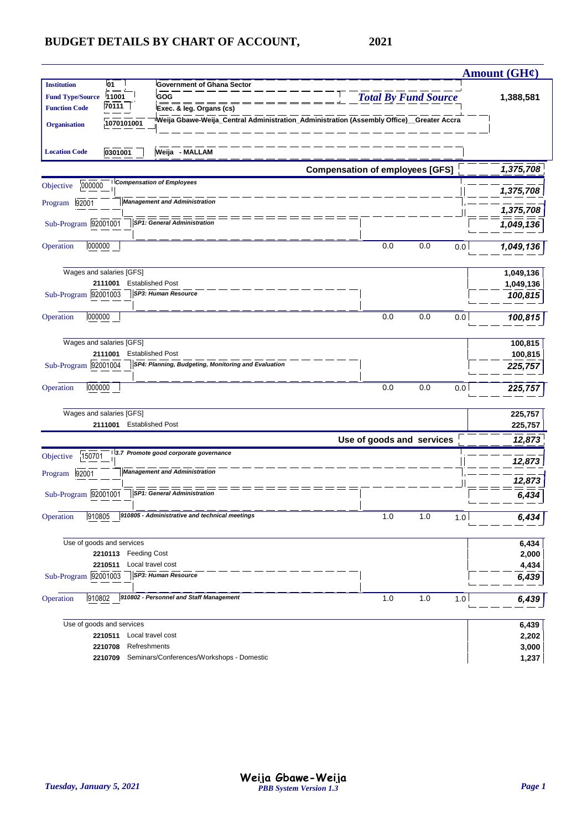|                                                                                                                                                                                                                                                                                                                            |                                        |     |     | Amount $(GH\ell)$ |
|----------------------------------------------------------------------------------------------------------------------------------------------------------------------------------------------------------------------------------------------------------------------------------------------------------------------------|----------------------------------------|-----|-----|-------------------|
| <b>Institution</b><br><b>01</b><br><b>Government of Ghana Sector</b><br>11001<br><b>Fund Type/Source</b><br>GOG<br>70111<br><b>Function Code</b><br>Exec. & leg. Organs (cs)<br><sup>i</sup> Weija Gbawe-Weija_Central Administration_Administration (Assembly Office)__Greater Accra<br>1070101001<br><b>Organisation</b> | <b>Total By Fund Source</b>            |     |     | 1,388,581         |
| Weija - MALLAM<br>0301001<br><b>Location Code</b>                                                                                                                                                                                                                                                                          |                                        |     |     |                   |
|                                                                                                                                                                                                                                                                                                                            | <b>Compensation of employees [GFS]</b> |     |     | 1,375,708         |
| <b>Compensation of Employees</b><br>000000<br>Objective                                                                                                                                                                                                                                                                    |                                        |     |     | 1,375,708         |
| <b>Management and Administration</b><br>92001<br>Program                                                                                                                                                                                                                                                                   |                                        |     |     | 1,375,708         |
| Sub-Program 92001001<br><b>SP1: General Administration</b>                                                                                                                                                                                                                                                                 |                                        |     |     | 1,049,136         |
| 000000<br>Operation                                                                                                                                                                                                                                                                                                        | 0.0                                    | 0.0 | 0.0 | 1,049,136         |
| Wages and salaries [GFS]                                                                                                                                                                                                                                                                                                   |                                        |     |     | 1,049,136         |
| <b>Established Post</b><br>2111001<br><b>SP3: Human Resource</b><br>Sub-Program 92001003                                                                                                                                                                                                                                   |                                        |     |     | 1,049,136         |
|                                                                                                                                                                                                                                                                                                                            |                                        |     |     | 100,815           |
| 000000<br>Operation                                                                                                                                                                                                                                                                                                        | 0.0                                    | 0.0 | 0.0 | 100,815           |
| Wages and salaries [GFS]                                                                                                                                                                                                                                                                                                   |                                        |     |     | 100,815           |
| <b>Established Post</b><br>2111001<br>SP4: Planning, Budgeting, Monitoring and Evaluation                                                                                                                                                                                                                                  |                                        |     |     | 100,815           |
| Sub-Program 92001004                                                                                                                                                                                                                                                                                                       |                                        |     |     | 225,757           |
| 000000<br>Operation                                                                                                                                                                                                                                                                                                        | 0.0                                    | 0.0 | 0.0 | 225,757           |
| Wages and salaries [GFS]                                                                                                                                                                                                                                                                                                   |                                        |     |     | 225,757           |
| 2111001 Established Post                                                                                                                                                                                                                                                                                                   |                                        |     |     | 225,757           |
| 3.7 Promote good corporate governance                                                                                                                                                                                                                                                                                      | Use of goods and services              |     |     | 12,873            |
| 150701<br>Objective                                                                                                                                                                                                                                                                                                        |                                        |     |     | 12,873            |
| <b>Management and Administration</b><br>92001<br>Program                                                                                                                                                                                                                                                                   |                                        |     |     | 12,873            |
| Sub-Program 92001001<br><b>SP1: General Administration</b>                                                                                                                                                                                                                                                                 |                                        |     |     | 6.434             |
| 910805 - Administrative and technical meetings<br>910805<br>Operation                                                                                                                                                                                                                                                      | 1.0                                    | 1.0 | 1.0 | 6,434             |
| Use of goods and services                                                                                                                                                                                                                                                                                                  |                                        |     |     | 6,434             |
| 2210113<br><b>Feeding Cost</b>                                                                                                                                                                                                                                                                                             |                                        |     |     | 2,000             |
| 2210511<br>Local travel cost<br>SP3: Human Resource<br>Sub-Program 92001003                                                                                                                                                                                                                                                |                                        |     |     | 4,434<br>6,439    |
|                                                                                                                                                                                                                                                                                                                            |                                        |     |     |                   |
| 910802 - Personnel and Staff Management<br>Operation<br>910802                                                                                                                                                                                                                                                             | 1.0                                    | 1.0 | 1.0 | 6,439             |
| Use of goods and services                                                                                                                                                                                                                                                                                                  |                                        |     |     | 6,439             |
| 2210511<br>Local travel cost                                                                                                                                                                                                                                                                                               |                                        |     |     | 2,202             |
| 2210708<br>Refreshments<br>Seminars/Conferences/Workshops - Domestic<br>2210709                                                                                                                                                                                                                                            |                                        |     |     | 3,000<br>1,237    |
|                                                                                                                                                                                                                                                                                                                            |                                        |     |     |                   |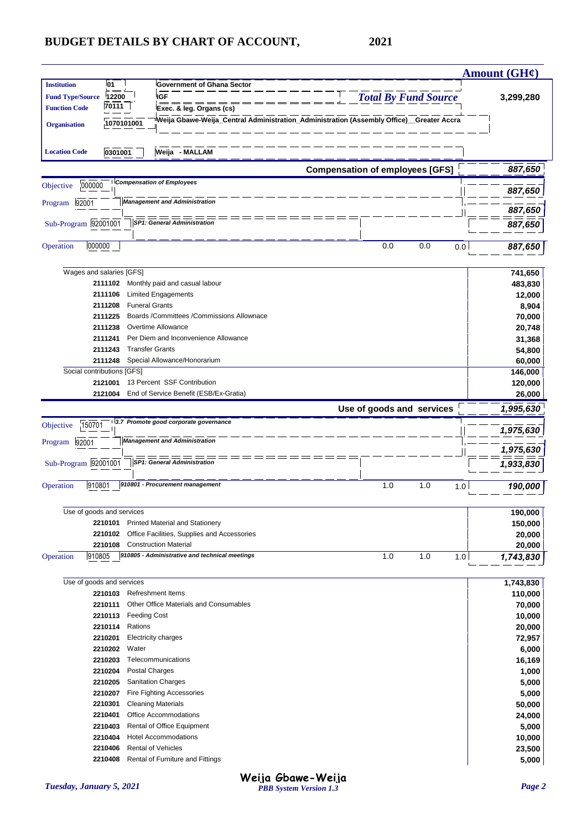| <b>Institution</b><br><b>01</b><br><b>Government of Ghana Sector</b><br><b>IGF</b><br><b>Total By Fund Source</b><br><b>Fund Type/Source</b><br>12200<br>3,299,280<br>70111  <br><b>Function Code</b><br>Exec. & leg. Organs (cs)<br>Weija Gbawe-Weija_Central Administration_Administration (Assembly Office)_Greater Accra<br>1070101001<br><b>Organisation</b><br>Weija - MALLAM<br>0301001<br><b>Location Code</b><br><b>Compensation of employees [GFS]</b><br>887,650<br><b>Compensation of Employees</b><br>000000<br>887,650<br><b>Management and Administration</b><br>92001<br>887,650<br>Sub-Program 92001001<br><b>SP1: General Administration</b><br>887,650<br>000000<br>Operation<br>0.0<br>0.0<br>0.0<br>887,650<br>Wages and salaries [GFS]<br>741,650<br>Monthly paid and casual labour<br>483,830<br>2111102<br>2111106<br><b>Limited Engagements</b><br>12,000<br><b>Funeral Grants</b><br>2111208<br>8,904<br>Boards /Committees /Commissions Allownace<br>2111225<br>70,000<br>Overtime Allowance<br>2111238<br>20,748<br>Per Diem and Inconvenience Allowance<br>2111241<br>31,368<br><b>Transfer Grants</b><br>2111243<br>54,800<br>Special Allowance/Honorarium<br>2111248<br>60,000<br>Social contributions [GFS]<br>146,000<br>13 Percent SSF Contribution<br>2121001<br>120,000<br>End of Service Benefit (ESB/Ex-Gratia)<br>2121004<br>26,000<br>Use of goods and services<br>1,995,630<br>3.7 Promote good corporate governance<br>150701<br>1,975,630<br><b>Management and Administration</b><br>92001<br>Program<br>1,975,630<br>Sub-Program 92001001<br><b>SP1: General Administration</b><br>1,933,830<br>910801 - Procurement management<br>910801<br>1.0<br>1.0<br>1.0<br>190,000<br>Use of goods and services<br>190,000<br><b>Printed Material and Stationery</b><br>150,000<br>2210101<br>Office Facilities, Supplies and Accessories<br>2210102<br>20,000<br>2210108<br><b>Construction Material</b><br>20,000<br>910805 - Administrative and technical meetings<br>910805<br>1.0<br>1.0<br>1.0<br>1,743,830<br>Use of goods and services<br>1,743,830<br><b>Refreshment Items</b><br>2210103<br>110,000<br>2210111<br>Other Office Materials and Consumables<br>70,000<br><b>Feeding Cost</b><br>2210113<br>10,000<br>2210114<br>Rations<br>20,000<br>2210201<br><b>Electricity charges</b><br>72,957<br>2210202<br>Water<br>6,000<br>2210203<br>Telecommunications<br>16,169<br>2210204<br>Postal Charges<br>1,000<br>2210205<br><b>Sanitation Charges</b><br>5,000<br>2210207<br>Fire Fighting Accessories<br>5,000<br>2210301<br><b>Cleaning Materials</b><br>50,000<br>Office Accommodations<br>2210401<br>24,000<br>Rental of Office Equipment<br>2210403<br>5,000<br><b>Hotel Accommodations</b><br>2210404<br>10,000<br><b>Rental of Vehicles</b><br>2210406<br>23,500<br>Rental of Furniture and Fittings<br>5,000<br>2210408 |           |  |  |  | Amount $(GH\mathcal{C})$ |
|--------------------------------------------------------------------------------------------------------------------------------------------------------------------------------------------------------------------------------------------------------------------------------------------------------------------------------------------------------------------------------------------------------------------------------------------------------------------------------------------------------------------------------------------------------------------------------------------------------------------------------------------------------------------------------------------------------------------------------------------------------------------------------------------------------------------------------------------------------------------------------------------------------------------------------------------------------------------------------------------------------------------------------------------------------------------------------------------------------------------------------------------------------------------------------------------------------------------------------------------------------------------------------------------------------------------------------------------------------------------------------------------------------------------------------------------------------------------------------------------------------------------------------------------------------------------------------------------------------------------------------------------------------------------------------------------------------------------------------------------------------------------------------------------------------------------------------------------------------------------------------------------------------------------------------------------------------------------------------------------------------------------------------------------------------------------------------------------------------------------------------------------------------------------------------------------------------------------------------------------------------------------------------------------------------------------------------------------------------------------------------------------------------------------------------------------------------------------------------------------------------------------------------------------------------------------------------------------------------------------------------------------------------------------------------------------------------------------------------------------------------------------------------------------------------------------------------------------------------------------------------|-----------|--|--|--|--------------------------|
|                                                                                                                                                                                                                                                                                                                                                                                                                                                                                                                                                                                                                                                                                                                                                                                                                                                                                                                                                                                                                                                                                                                                                                                                                                                                                                                                                                                                                                                                                                                                                                                                                                                                                                                                                                                                                                                                                                                                                                                                                                                                                                                                                                                                                                                                                                                                                                                                                                                                                                                                                                                                                                                                                                                                                                                                                                                                                |           |  |  |  |                          |
|                                                                                                                                                                                                                                                                                                                                                                                                                                                                                                                                                                                                                                                                                                                                                                                                                                                                                                                                                                                                                                                                                                                                                                                                                                                                                                                                                                                                                                                                                                                                                                                                                                                                                                                                                                                                                                                                                                                                                                                                                                                                                                                                                                                                                                                                                                                                                                                                                                                                                                                                                                                                                                                                                                                                                                                                                                                                                |           |  |  |  |                          |
|                                                                                                                                                                                                                                                                                                                                                                                                                                                                                                                                                                                                                                                                                                                                                                                                                                                                                                                                                                                                                                                                                                                                                                                                                                                                                                                                                                                                                                                                                                                                                                                                                                                                                                                                                                                                                                                                                                                                                                                                                                                                                                                                                                                                                                                                                                                                                                                                                                                                                                                                                                                                                                                                                                                                                                                                                                                                                |           |  |  |  |                          |
|                                                                                                                                                                                                                                                                                                                                                                                                                                                                                                                                                                                                                                                                                                                                                                                                                                                                                                                                                                                                                                                                                                                                                                                                                                                                                                                                                                                                                                                                                                                                                                                                                                                                                                                                                                                                                                                                                                                                                                                                                                                                                                                                                                                                                                                                                                                                                                                                                                                                                                                                                                                                                                                                                                                                                                                                                                                                                |           |  |  |  |                          |
|                                                                                                                                                                                                                                                                                                                                                                                                                                                                                                                                                                                                                                                                                                                                                                                                                                                                                                                                                                                                                                                                                                                                                                                                                                                                                                                                                                                                                                                                                                                                                                                                                                                                                                                                                                                                                                                                                                                                                                                                                                                                                                                                                                                                                                                                                                                                                                                                                                                                                                                                                                                                                                                                                                                                                                                                                                                                                |           |  |  |  |                          |
|                                                                                                                                                                                                                                                                                                                                                                                                                                                                                                                                                                                                                                                                                                                                                                                                                                                                                                                                                                                                                                                                                                                                                                                                                                                                                                                                                                                                                                                                                                                                                                                                                                                                                                                                                                                                                                                                                                                                                                                                                                                                                                                                                                                                                                                                                                                                                                                                                                                                                                                                                                                                                                                                                                                                                                                                                                                                                |           |  |  |  |                          |
|                                                                                                                                                                                                                                                                                                                                                                                                                                                                                                                                                                                                                                                                                                                                                                                                                                                                                                                                                                                                                                                                                                                                                                                                                                                                                                                                                                                                                                                                                                                                                                                                                                                                                                                                                                                                                                                                                                                                                                                                                                                                                                                                                                                                                                                                                                                                                                                                                                                                                                                                                                                                                                                                                                                                                                                                                                                                                |           |  |  |  |                          |
|                                                                                                                                                                                                                                                                                                                                                                                                                                                                                                                                                                                                                                                                                                                                                                                                                                                                                                                                                                                                                                                                                                                                                                                                                                                                                                                                                                                                                                                                                                                                                                                                                                                                                                                                                                                                                                                                                                                                                                                                                                                                                                                                                                                                                                                                                                                                                                                                                                                                                                                                                                                                                                                                                                                                                                                                                                                                                |           |  |  |  |                          |
|                                                                                                                                                                                                                                                                                                                                                                                                                                                                                                                                                                                                                                                                                                                                                                                                                                                                                                                                                                                                                                                                                                                                                                                                                                                                                                                                                                                                                                                                                                                                                                                                                                                                                                                                                                                                                                                                                                                                                                                                                                                                                                                                                                                                                                                                                                                                                                                                                                                                                                                                                                                                                                                                                                                                                                                                                                                                                | Objective |  |  |  |                          |
|                                                                                                                                                                                                                                                                                                                                                                                                                                                                                                                                                                                                                                                                                                                                                                                                                                                                                                                                                                                                                                                                                                                                                                                                                                                                                                                                                                                                                                                                                                                                                                                                                                                                                                                                                                                                                                                                                                                                                                                                                                                                                                                                                                                                                                                                                                                                                                                                                                                                                                                                                                                                                                                                                                                                                                                                                                                                                | Program   |  |  |  |                          |
|                                                                                                                                                                                                                                                                                                                                                                                                                                                                                                                                                                                                                                                                                                                                                                                                                                                                                                                                                                                                                                                                                                                                                                                                                                                                                                                                                                                                                                                                                                                                                                                                                                                                                                                                                                                                                                                                                                                                                                                                                                                                                                                                                                                                                                                                                                                                                                                                                                                                                                                                                                                                                                                                                                                                                                                                                                                                                |           |  |  |  |                          |
|                                                                                                                                                                                                                                                                                                                                                                                                                                                                                                                                                                                                                                                                                                                                                                                                                                                                                                                                                                                                                                                                                                                                                                                                                                                                                                                                                                                                                                                                                                                                                                                                                                                                                                                                                                                                                                                                                                                                                                                                                                                                                                                                                                                                                                                                                                                                                                                                                                                                                                                                                                                                                                                                                                                                                                                                                                                                                |           |  |  |  |                          |
|                                                                                                                                                                                                                                                                                                                                                                                                                                                                                                                                                                                                                                                                                                                                                                                                                                                                                                                                                                                                                                                                                                                                                                                                                                                                                                                                                                                                                                                                                                                                                                                                                                                                                                                                                                                                                                                                                                                                                                                                                                                                                                                                                                                                                                                                                                                                                                                                                                                                                                                                                                                                                                                                                                                                                                                                                                                                                |           |  |  |  |                          |
|                                                                                                                                                                                                                                                                                                                                                                                                                                                                                                                                                                                                                                                                                                                                                                                                                                                                                                                                                                                                                                                                                                                                                                                                                                                                                                                                                                                                                                                                                                                                                                                                                                                                                                                                                                                                                                                                                                                                                                                                                                                                                                                                                                                                                                                                                                                                                                                                                                                                                                                                                                                                                                                                                                                                                                                                                                                                                |           |  |  |  |                          |
|                                                                                                                                                                                                                                                                                                                                                                                                                                                                                                                                                                                                                                                                                                                                                                                                                                                                                                                                                                                                                                                                                                                                                                                                                                                                                                                                                                                                                                                                                                                                                                                                                                                                                                                                                                                                                                                                                                                                                                                                                                                                                                                                                                                                                                                                                                                                                                                                                                                                                                                                                                                                                                                                                                                                                                                                                                                                                |           |  |  |  |                          |
|                                                                                                                                                                                                                                                                                                                                                                                                                                                                                                                                                                                                                                                                                                                                                                                                                                                                                                                                                                                                                                                                                                                                                                                                                                                                                                                                                                                                                                                                                                                                                                                                                                                                                                                                                                                                                                                                                                                                                                                                                                                                                                                                                                                                                                                                                                                                                                                                                                                                                                                                                                                                                                                                                                                                                                                                                                                                                |           |  |  |  |                          |
|                                                                                                                                                                                                                                                                                                                                                                                                                                                                                                                                                                                                                                                                                                                                                                                                                                                                                                                                                                                                                                                                                                                                                                                                                                                                                                                                                                                                                                                                                                                                                                                                                                                                                                                                                                                                                                                                                                                                                                                                                                                                                                                                                                                                                                                                                                                                                                                                                                                                                                                                                                                                                                                                                                                                                                                                                                                                                |           |  |  |  |                          |
|                                                                                                                                                                                                                                                                                                                                                                                                                                                                                                                                                                                                                                                                                                                                                                                                                                                                                                                                                                                                                                                                                                                                                                                                                                                                                                                                                                                                                                                                                                                                                                                                                                                                                                                                                                                                                                                                                                                                                                                                                                                                                                                                                                                                                                                                                                                                                                                                                                                                                                                                                                                                                                                                                                                                                                                                                                                                                |           |  |  |  |                          |
|                                                                                                                                                                                                                                                                                                                                                                                                                                                                                                                                                                                                                                                                                                                                                                                                                                                                                                                                                                                                                                                                                                                                                                                                                                                                                                                                                                                                                                                                                                                                                                                                                                                                                                                                                                                                                                                                                                                                                                                                                                                                                                                                                                                                                                                                                                                                                                                                                                                                                                                                                                                                                                                                                                                                                                                                                                                                                |           |  |  |  |                          |
|                                                                                                                                                                                                                                                                                                                                                                                                                                                                                                                                                                                                                                                                                                                                                                                                                                                                                                                                                                                                                                                                                                                                                                                                                                                                                                                                                                                                                                                                                                                                                                                                                                                                                                                                                                                                                                                                                                                                                                                                                                                                                                                                                                                                                                                                                                                                                                                                                                                                                                                                                                                                                                                                                                                                                                                                                                                                                |           |  |  |  |                          |
|                                                                                                                                                                                                                                                                                                                                                                                                                                                                                                                                                                                                                                                                                                                                                                                                                                                                                                                                                                                                                                                                                                                                                                                                                                                                                                                                                                                                                                                                                                                                                                                                                                                                                                                                                                                                                                                                                                                                                                                                                                                                                                                                                                                                                                                                                                                                                                                                                                                                                                                                                                                                                                                                                                                                                                                                                                                                                |           |  |  |  |                          |
|                                                                                                                                                                                                                                                                                                                                                                                                                                                                                                                                                                                                                                                                                                                                                                                                                                                                                                                                                                                                                                                                                                                                                                                                                                                                                                                                                                                                                                                                                                                                                                                                                                                                                                                                                                                                                                                                                                                                                                                                                                                                                                                                                                                                                                                                                                                                                                                                                                                                                                                                                                                                                                                                                                                                                                                                                                                                                |           |  |  |  |                          |
|                                                                                                                                                                                                                                                                                                                                                                                                                                                                                                                                                                                                                                                                                                                                                                                                                                                                                                                                                                                                                                                                                                                                                                                                                                                                                                                                                                                                                                                                                                                                                                                                                                                                                                                                                                                                                                                                                                                                                                                                                                                                                                                                                                                                                                                                                                                                                                                                                                                                                                                                                                                                                                                                                                                                                                                                                                                                                |           |  |  |  |                          |
|                                                                                                                                                                                                                                                                                                                                                                                                                                                                                                                                                                                                                                                                                                                                                                                                                                                                                                                                                                                                                                                                                                                                                                                                                                                                                                                                                                                                                                                                                                                                                                                                                                                                                                                                                                                                                                                                                                                                                                                                                                                                                                                                                                                                                                                                                                                                                                                                                                                                                                                                                                                                                                                                                                                                                                                                                                                                                |           |  |  |  |                          |
|                                                                                                                                                                                                                                                                                                                                                                                                                                                                                                                                                                                                                                                                                                                                                                                                                                                                                                                                                                                                                                                                                                                                                                                                                                                                                                                                                                                                                                                                                                                                                                                                                                                                                                                                                                                                                                                                                                                                                                                                                                                                                                                                                                                                                                                                                                                                                                                                                                                                                                                                                                                                                                                                                                                                                                                                                                                                                |           |  |  |  |                          |
|                                                                                                                                                                                                                                                                                                                                                                                                                                                                                                                                                                                                                                                                                                                                                                                                                                                                                                                                                                                                                                                                                                                                                                                                                                                                                                                                                                                                                                                                                                                                                                                                                                                                                                                                                                                                                                                                                                                                                                                                                                                                                                                                                                                                                                                                                                                                                                                                                                                                                                                                                                                                                                                                                                                                                                                                                                                                                |           |  |  |  |                          |
|                                                                                                                                                                                                                                                                                                                                                                                                                                                                                                                                                                                                                                                                                                                                                                                                                                                                                                                                                                                                                                                                                                                                                                                                                                                                                                                                                                                                                                                                                                                                                                                                                                                                                                                                                                                                                                                                                                                                                                                                                                                                                                                                                                                                                                                                                                                                                                                                                                                                                                                                                                                                                                                                                                                                                                                                                                                                                |           |  |  |  |                          |
|                                                                                                                                                                                                                                                                                                                                                                                                                                                                                                                                                                                                                                                                                                                                                                                                                                                                                                                                                                                                                                                                                                                                                                                                                                                                                                                                                                                                                                                                                                                                                                                                                                                                                                                                                                                                                                                                                                                                                                                                                                                                                                                                                                                                                                                                                                                                                                                                                                                                                                                                                                                                                                                                                                                                                                                                                                                                                | Objective |  |  |  |                          |
|                                                                                                                                                                                                                                                                                                                                                                                                                                                                                                                                                                                                                                                                                                                                                                                                                                                                                                                                                                                                                                                                                                                                                                                                                                                                                                                                                                                                                                                                                                                                                                                                                                                                                                                                                                                                                                                                                                                                                                                                                                                                                                                                                                                                                                                                                                                                                                                                                                                                                                                                                                                                                                                                                                                                                                                                                                                                                |           |  |  |  |                          |
|                                                                                                                                                                                                                                                                                                                                                                                                                                                                                                                                                                                                                                                                                                                                                                                                                                                                                                                                                                                                                                                                                                                                                                                                                                                                                                                                                                                                                                                                                                                                                                                                                                                                                                                                                                                                                                                                                                                                                                                                                                                                                                                                                                                                                                                                                                                                                                                                                                                                                                                                                                                                                                                                                                                                                                                                                                                                                |           |  |  |  |                          |
|                                                                                                                                                                                                                                                                                                                                                                                                                                                                                                                                                                                                                                                                                                                                                                                                                                                                                                                                                                                                                                                                                                                                                                                                                                                                                                                                                                                                                                                                                                                                                                                                                                                                                                                                                                                                                                                                                                                                                                                                                                                                                                                                                                                                                                                                                                                                                                                                                                                                                                                                                                                                                                                                                                                                                                                                                                                                                |           |  |  |  |                          |
|                                                                                                                                                                                                                                                                                                                                                                                                                                                                                                                                                                                                                                                                                                                                                                                                                                                                                                                                                                                                                                                                                                                                                                                                                                                                                                                                                                                                                                                                                                                                                                                                                                                                                                                                                                                                                                                                                                                                                                                                                                                                                                                                                                                                                                                                                                                                                                                                                                                                                                                                                                                                                                                                                                                                                                                                                                                                                |           |  |  |  |                          |
|                                                                                                                                                                                                                                                                                                                                                                                                                                                                                                                                                                                                                                                                                                                                                                                                                                                                                                                                                                                                                                                                                                                                                                                                                                                                                                                                                                                                                                                                                                                                                                                                                                                                                                                                                                                                                                                                                                                                                                                                                                                                                                                                                                                                                                                                                                                                                                                                                                                                                                                                                                                                                                                                                                                                                                                                                                                                                | Operation |  |  |  |                          |
|                                                                                                                                                                                                                                                                                                                                                                                                                                                                                                                                                                                                                                                                                                                                                                                                                                                                                                                                                                                                                                                                                                                                                                                                                                                                                                                                                                                                                                                                                                                                                                                                                                                                                                                                                                                                                                                                                                                                                                                                                                                                                                                                                                                                                                                                                                                                                                                                                                                                                                                                                                                                                                                                                                                                                                                                                                                                                |           |  |  |  |                          |
|                                                                                                                                                                                                                                                                                                                                                                                                                                                                                                                                                                                                                                                                                                                                                                                                                                                                                                                                                                                                                                                                                                                                                                                                                                                                                                                                                                                                                                                                                                                                                                                                                                                                                                                                                                                                                                                                                                                                                                                                                                                                                                                                                                                                                                                                                                                                                                                                                                                                                                                                                                                                                                                                                                                                                                                                                                                                                |           |  |  |  |                          |
|                                                                                                                                                                                                                                                                                                                                                                                                                                                                                                                                                                                                                                                                                                                                                                                                                                                                                                                                                                                                                                                                                                                                                                                                                                                                                                                                                                                                                                                                                                                                                                                                                                                                                                                                                                                                                                                                                                                                                                                                                                                                                                                                                                                                                                                                                                                                                                                                                                                                                                                                                                                                                                                                                                                                                                                                                                                                                |           |  |  |  |                          |
|                                                                                                                                                                                                                                                                                                                                                                                                                                                                                                                                                                                                                                                                                                                                                                                                                                                                                                                                                                                                                                                                                                                                                                                                                                                                                                                                                                                                                                                                                                                                                                                                                                                                                                                                                                                                                                                                                                                                                                                                                                                                                                                                                                                                                                                                                                                                                                                                                                                                                                                                                                                                                                                                                                                                                                                                                                                                                |           |  |  |  |                          |
|                                                                                                                                                                                                                                                                                                                                                                                                                                                                                                                                                                                                                                                                                                                                                                                                                                                                                                                                                                                                                                                                                                                                                                                                                                                                                                                                                                                                                                                                                                                                                                                                                                                                                                                                                                                                                                                                                                                                                                                                                                                                                                                                                                                                                                                                                                                                                                                                                                                                                                                                                                                                                                                                                                                                                                                                                                                                                |           |  |  |  |                          |
|                                                                                                                                                                                                                                                                                                                                                                                                                                                                                                                                                                                                                                                                                                                                                                                                                                                                                                                                                                                                                                                                                                                                                                                                                                                                                                                                                                                                                                                                                                                                                                                                                                                                                                                                                                                                                                                                                                                                                                                                                                                                                                                                                                                                                                                                                                                                                                                                                                                                                                                                                                                                                                                                                                                                                                                                                                                                                | Operation |  |  |  |                          |
|                                                                                                                                                                                                                                                                                                                                                                                                                                                                                                                                                                                                                                                                                                                                                                                                                                                                                                                                                                                                                                                                                                                                                                                                                                                                                                                                                                                                                                                                                                                                                                                                                                                                                                                                                                                                                                                                                                                                                                                                                                                                                                                                                                                                                                                                                                                                                                                                                                                                                                                                                                                                                                                                                                                                                                                                                                                                                |           |  |  |  |                          |
|                                                                                                                                                                                                                                                                                                                                                                                                                                                                                                                                                                                                                                                                                                                                                                                                                                                                                                                                                                                                                                                                                                                                                                                                                                                                                                                                                                                                                                                                                                                                                                                                                                                                                                                                                                                                                                                                                                                                                                                                                                                                                                                                                                                                                                                                                                                                                                                                                                                                                                                                                                                                                                                                                                                                                                                                                                                                                |           |  |  |  |                          |
|                                                                                                                                                                                                                                                                                                                                                                                                                                                                                                                                                                                                                                                                                                                                                                                                                                                                                                                                                                                                                                                                                                                                                                                                                                                                                                                                                                                                                                                                                                                                                                                                                                                                                                                                                                                                                                                                                                                                                                                                                                                                                                                                                                                                                                                                                                                                                                                                                                                                                                                                                                                                                                                                                                                                                                                                                                                                                |           |  |  |  |                          |
|                                                                                                                                                                                                                                                                                                                                                                                                                                                                                                                                                                                                                                                                                                                                                                                                                                                                                                                                                                                                                                                                                                                                                                                                                                                                                                                                                                                                                                                                                                                                                                                                                                                                                                                                                                                                                                                                                                                                                                                                                                                                                                                                                                                                                                                                                                                                                                                                                                                                                                                                                                                                                                                                                                                                                                                                                                                                                |           |  |  |  |                          |
|                                                                                                                                                                                                                                                                                                                                                                                                                                                                                                                                                                                                                                                                                                                                                                                                                                                                                                                                                                                                                                                                                                                                                                                                                                                                                                                                                                                                                                                                                                                                                                                                                                                                                                                                                                                                                                                                                                                                                                                                                                                                                                                                                                                                                                                                                                                                                                                                                                                                                                                                                                                                                                                                                                                                                                                                                                                                                |           |  |  |  |                          |
|                                                                                                                                                                                                                                                                                                                                                                                                                                                                                                                                                                                                                                                                                                                                                                                                                                                                                                                                                                                                                                                                                                                                                                                                                                                                                                                                                                                                                                                                                                                                                                                                                                                                                                                                                                                                                                                                                                                                                                                                                                                                                                                                                                                                                                                                                                                                                                                                                                                                                                                                                                                                                                                                                                                                                                                                                                                                                |           |  |  |  |                          |
|                                                                                                                                                                                                                                                                                                                                                                                                                                                                                                                                                                                                                                                                                                                                                                                                                                                                                                                                                                                                                                                                                                                                                                                                                                                                                                                                                                                                                                                                                                                                                                                                                                                                                                                                                                                                                                                                                                                                                                                                                                                                                                                                                                                                                                                                                                                                                                                                                                                                                                                                                                                                                                                                                                                                                                                                                                                                                |           |  |  |  |                          |
|                                                                                                                                                                                                                                                                                                                                                                                                                                                                                                                                                                                                                                                                                                                                                                                                                                                                                                                                                                                                                                                                                                                                                                                                                                                                                                                                                                                                                                                                                                                                                                                                                                                                                                                                                                                                                                                                                                                                                                                                                                                                                                                                                                                                                                                                                                                                                                                                                                                                                                                                                                                                                                                                                                                                                                                                                                                                                |           |  |  |  |                          |
|                                                                                                                                                                                                                                                                                                                                                                                                                                                                                                                                                                                                                                                                                                                                                                                                                                                                                                                                                                                                                                                                                                                                                                                                                                                                                                                                                                                                                                                                                                                                                                                                                                                                                                                                                                                                                                                                                                                                                                                                                                                                                                                                                                                                                                                                                                                                                                                                                                                                                                                                                                                                                                                                                                                                                                                                                                                                                |           |  |  |  |                          |
|                                                                                                                                                                                                                                                                                                                                                                                                                                                                                                                                                                                                                                                                                                                                                                                                                                                                                                                                                                                                                                                                                                                                                                                                                                                                                                                                                                                                                                                                                                                                                                                                                                                                                                                                                                                                                                                                                                                                                                                                                                                                                                                                                                                                                                                                                                                                                                                                                                                                                                                                                                                                                                                                                                                                                                                                                                                                                |           |  |  |  |                          |
|                                                                                                                                                                                                                                                                                                                                                                                                                                                                                                                                                                                                                                                                                                                                                                                                                                                                                                                                                                                                                                                                                                                                                                                                                                                                                                                                                                                                                                                                                                                                                                                                                                                                                                                                                                                                                                                                                                                                                                                                                                                                                                                                                                                                                                                                                                                                                                                                                                                                                                                                                                                                                                                                                                                                                                                                                                                                                |           |  |  |  |                          |
|                                                                                                                                                                                                                                                                                                                                                                                                                                                                                                                                                                                                                                                                                                                                                                                                                                                                                                                                                                                                                                                                                                                                                                                                                                                                                                                                                                                                                                                                                                                                                                                                                                                                                                                                                                                                                                                                                                                                                                                                                                                                                                                                                                                                                                                                                                                                                                                                                                                                                                                                                                                                                                                                                                                                                                                                                                                                                |           |  |  |  |                          |
|                                                                                                                                                                                                                                                                                                                                                                                                                                                                                                                                                                                                                                                                                                                                                                                                                                                                                                                                                                                                                                                                                                                                                                                                                                                                                                                                                                                                                                                                                                                                                                                                                                                                                                                                                                                                                                                                                                                                                                                                                                                                                                                                                                                                                                                                                                                                                                                                                                                                                                                                                                                                                                                                                                                                                                                                                                                                                |           |  |  |  |                          |
|                                                                                                                                                                                                                                                                                                                                                                                                                                                                                                                                                                                                                                                                                                                                                                                                                                                                                                                                                                                                                                                                                                                                                                                                                                                                                                                                                                                                                                                                                                                                                                                                                                                                                                                                                                                                                                                                                                                                                                                                                                                                                                                                                                                                                                                                                                                                                                                                                                                                                                                                                                                                                                                                                                                                                                                                                                                                                |           |  |  |  |                          |
|                                                                                                                                                                                                                                                                                                                                                                                                                                                                                                                                                                                                                                                                                                                                                                                                                                                                                                                                                                                                                                                                                                                                                                                                                                                                                                                                                                                                                                                                                                                                                                                                                                                                                                                                                                                                                                                                                                                                                                                                                                                                                                                                                                                                                                                                                                                                                                                                                                                                                                                                                                                                                                                                                                                                                                                                                                                                                |           |  |  |  |                          |
|                                                                                                                                                                                                                                                                                                                                                                                                                                                                                                                                                                                                                                                                                                                                                                                                                                                                                                                                                                                                                                                                                                                                                                                                                                                                                                                                                                                                                                                                                                                                                                                                                                                                                                                                                                                                                                                                                                                                                                                                                                                                                                                                                                                                                                                                                                                                                                                                                                                                                                                                                                                                                                                                                                                                                                                                                                                                                |           |  |  |  |                          |
|                                                                                                                                                                                                                                                                                                                                                                                                                                                                                                                                                                                                                                                                                                                                                                                                                                                                                                                                                                                                                                                                                                                                                                                                                                                                                                                                                                                                                                                                                                                                                                                                                                                                                                                                                                                                                                                                                                                                                                                                                                                                                                                                                                                                                                                                                                                                                                                                                                                                                                                                                                                                                                                                                                                                                                                                                                                                                |           |  |  |  |                          |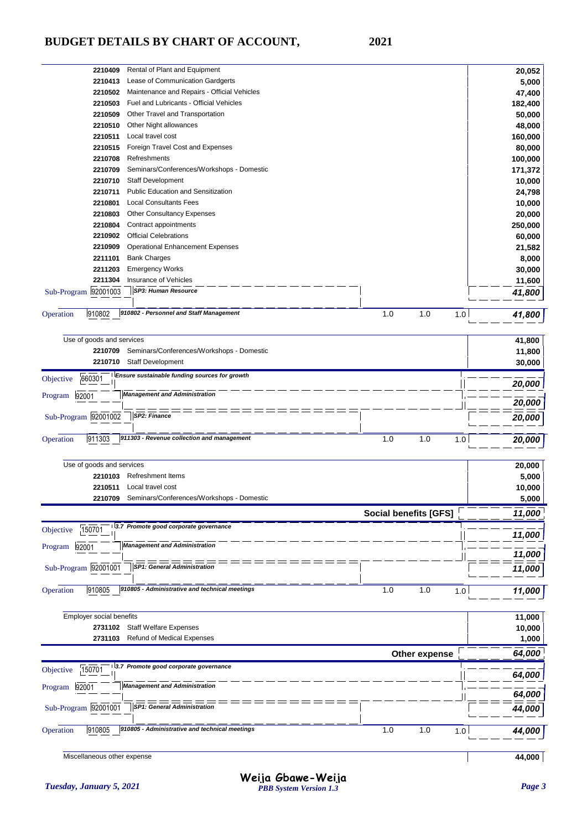| 2210409                   | Rental of Plant and Equipment                 |     |            | 20,052  |
|---------------------------|-----------------------------------------------|-----|------------|---------|
| 2210413                   | Lease of Communication Gardgerts              |     |            | 5,000   |
| 2210502                   | Maintenance and Repairs - Official Vehicles   |     |            | 47,400  |
| 2210503                   | Fuel and Lubricants - Official Vehicles       |     |            | 182,400 |
| 2210509                   | Other Travel and Transportation               |     |            | 50,000  |
| 2210510                   | Other Night allowances                        |     |            | 48,000  |
| 2210511                   | Local travel cost                             |     |            | 160,000 |
| 2210515                   | Foreign Travel Cost and Expenses              |     |            | 80,000  |
| 2210708                   | Refreshments                                  |     |            | 100,000 |
| 2210709                   | Seminars/Conferences/Workshops - Domestic     |     |            | 171,372 |
| 2210710                   | <b>Staff Development</b>                      |     |            | 10,000  |
| 2210711                   | <b>Public Education and Sensitization</b>     |     |            | 24,798  |
| 2210801                   | <b>Local Consultants Fees</b>                 |     |            | 10,000  |
| 2210803                   | <b>Other Consultancy Expenses</b>             |     |            | 20,000  |
| 2210804                   | Contract appointments                         |     |            | 250,000 |
| 2210902                   | <b>Official Celebrations</b>                  |     |            | 60,000  |
| 2210909                   | <b>Operational Enhancement Expenses</b>       |     |            | 21,582  |
| 2211101                   | <b>Bank Charges</b>                           |     |            | 8,000   |
| 2211203                   | <b>Emergency Works</b>                        |     |            | 30,000  |
| 2211304                   | Insurance of Vehicles                         |     |            | 11,600  |
| Sub-Program 92001003      | <b>SP3: Human Resource</b>                    |     |            | 41,800  |
|                           |                                               |     |            |         |
| 910802<br>Operation       | 910802 - Personnel and Staff Management       | 1.0 | 1.0<br>1.0 | 41,800  |
| Use of goods and services |                                               |     |            | 41,800  |
| 2210709                   | Seminars/Conferences/Workshops - Domestic     |     |            | 11,800  |
| 2210710                   | Staff Development                             |     |            | 30,000  |
| 660301<br>Objective       | Ensure sustainable funding sources for growth |     |            | 20,000  |
| Program 92001             | <b>Management and Administration</b>          |     |            | 20,000  |
|                           |                                               |     |            |         |

Sub-Program 92001002 *20,000 SP2: Finance* 0peration 911303 911303 - Revenue collection and management<br>
1.0 1.0 1.0 1.0 20,000

| Use of goods and services                                             |                              | 20,000 |
|-----------------------------------------------------------------------|------------------------------|--------|
| <b>Refreshment Items</b><br>2210103                                   |                              | 5,000  |
| Local travel cost<br>2210511                                          |                              | 10,000 |
| Seminars/Conferences/Workshops - Domestic<br>2210709                  |                              | 5,000  |
|                                                                       | <b>Social benefits [GFS]</b> | 11,000 |
| 3.7 Promote good corporate governance<br>150701<br>Objective          |                              | 11,000 |
| <b>Management and Administration</b><br>92001<br>Program              |                              | 11,000 |
| <b>SP1: General Administration</b><br>Sub-Program 92001001            |                              | 11,000 |
| 910805 - Administrative and technical meetings<br>910805<br>Operation | 1.0<br>1.0<br>1.0            | 11,000 |

| <b>Employer social benefits</b>                                       |                   | 11,000 |
|-----------------------------------------------------------------------|-------------------|--------|
| <b>Staff Welfare Expenses</b><br>2731102                              |                   | 10,000 |
| Refund of Medical Expenses<br>2731103                                 |                   | 1,000  |
|                                                                       | Other expense     | 64,000 |
| 3.7 Promote good corporate governance<br>150701<br>Objective          |                   | 64,000 |
| <b>Management and Administration</b><br>92001<br>Program              |                   | 64,000 |
| <b>SP1: General Administration</b><br>Sub-Program 92001001            |                   | 44,000 |
| 910805 - Administrative and technical meetings<br>910805<br>Operation | 1.0<br>1.0<br>1.0 | 44,000 |

Miscellaneous other expense **44,000**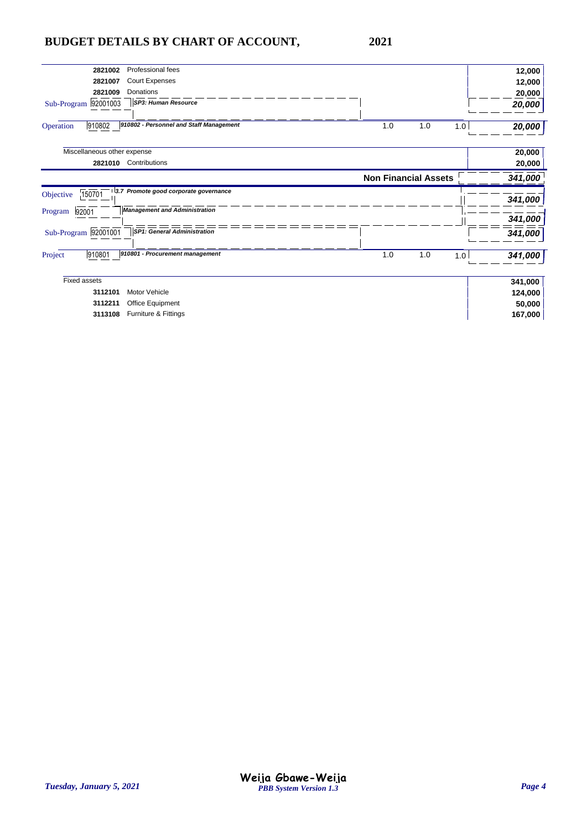| Professional fees<br>2821002                                   |                             | 12,000  |
|----------------------------------------------------------------|-----------------------------|---------|
| Court Expenses<br>2821007                                      |                             | 12,000  |
| <b>Donations</b><br>2821009                                    |                             | 20,000  |
| SP3: Human Resource<br>Sub-Program 92001003                    |                             | 20,000  |
|                                                                |                             |         |
| 910802<br>910802 - Personnel and Staff Management<br>Operation | 1.0<br>1.0<br>1.0           | 20,000  |
| Miscellaneous other expense                                    |                             | 20,000  |
| 2821010<br>Contributions                                       |                             | 20,000  |
|                                                                | <b>Non Financial Assets</b> | 341,000 |
| 3.7 Promote good corporate governance<br>150701<br>Objective   |                             |         |
|                                                                |                             | 341,000 |
| <b>Management and Administration</b><br>Program<br>92001       |                             | 341,000 |
| SP1: General Administration<br>Sub-Program 92001001            |                             | 341,000 |
| 910801<br>910801 - Procurement management<br>Project           | 1.0<br>1.0<br>1.0           | 341,000 |
|                                                                |                             |         |
| <b>Fixed assets</b>                                            |                             | 341,000 |
| Motor Vehicle<br>3112101                                       |                             | 124,000 |
| 3112211<br>Office Equipment                                    |                             | 50,000  |
| Furniture & Fittings<br>3113108                                |                             | 167,000 |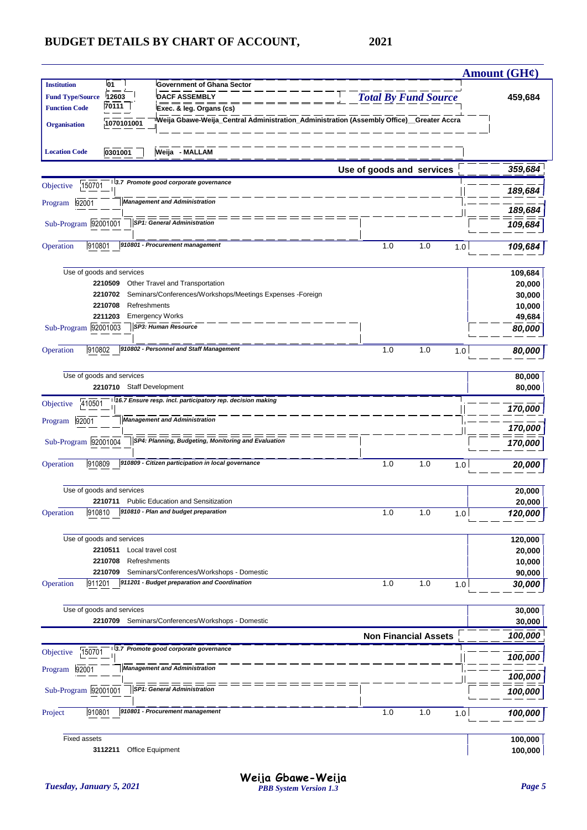|                         |                                    |                                                                                                                                   |                             |            | <b>Amount (GH¢)</b>     |
|-------------------------|------------------------------------|-----------------------------------------------------------------------------------------------------------------------------------|-----------------------------|------------|-------------------------|
| <b>Institution</b>      | 01                                 | <b>Government of Ghana Sector</b>                                                                                                 |                             |            |                         |
| <b>Fund Type/Source</b> | 12603<br>70111                     | <b>DACF ASSEMBLY</b>                                                                                                              | <b>Total By Fund Source</b> |            | 459,684                 |
| <b>Function Code</b>    |                                    | Exec. & leg. Organs (cs)<br><sup>i</sup> Weija Gbawe-Weija_Central Administration_Administration (Assembly Office)__Greater Accra |                             |            |                         |
| <b>Organisation</b>     | 1070101001                         |                                                                                                                                   |                             |            |                         |
| <b>Location Code</b>    | 0301001                            | Weija - MALLAM                                                                                                                    |                             |            |                         |
|                         |                                    |                                                                                                                                   | Use of goods and services   |            | 359,684                 |
| 150701<br>Objective     |                                    | 3.7 Promote good corporate governance                                                                                             |                             |            | 189,684                 |
| 92001<br>Program        |                                    | <b>Management and Administration</b>                                                                                              |                             |            | 189,684                 |
| Sub-Program 92001001    |                                    | <b>SP1: General Administration</b>                                                                                                |                             |            | 109,684                 |
| 910801<br>Operation     |                                    | 910801 - Procurement management                                                                                                   | 1.0                         | 1.0<br>1.0 | 109,684                 |
|                         |                                    |                                                                                                                                   |                             |            |                         |
|                         | Use of goods and services          |                                                                                                                                   |                             |            | 109,684                 |
|                         | 2210509<br>2210702                 | Other Travel and Transportation<br>Seminars/Conferences/Workshops/Meetings Expenses -Foreign                                      |                             |            | 20,000<br>30,000        |
|                         | 2210708<br>Refreshments            |                                                                                                                                   |                             |            | 10,000                  |
|                         | 2211203                            | <b>Emergency Works</b>                                                                                                            |                             |            | 49,684                  |
| Sub-Program 92001003    |                                    | SP3: Human Resource                                                                                                               |                             |            | 80,000                  |
| 910802<br>Operation     |                                    | 910802 - Personnel and Staff Management                                                                                           | 1.0                         | 1.0        | 1.0<br>80,000           |
|                         | Use of goods and services          |                                                                                                                                   |                             |            | 80,000                  |
|                         | 2210710 Staff Development          |                                                                                                                                   |                             |            | 80,000                  |
| 410501<br>Objective     |                                    | 16.7 Ensure resp. incl. participatory rep. decision making                                                                        |                             |            | 170,000                 |
| Program 92001           |                                    | <b>Management and Administration</b>                                                                                              |                             |            | 170,000                 |
| Sub-Program 92001004    |                                    | SP4: Planning, Budgeting, Monitoring and Evaluation                                                                               |                             |            | 170,000                 |
| 910809<br>Operation     |                                    | 910809 - Citizen participation in local governance                                                                                | 1.0                         | 1.0<br>1.0 | 20,000                  |
|                         |                                    |                                                                                                                                   |                             |            |                         |
|                         | Use of goods and services          |                                                                                                                                   |                             |            | 20,000                  |
|                         | 2210711                            | <b>Public Education and Sensitization</b><br>910810 - Plan and budget preparation                                                 |                             |            | 20,000                  |
| Operation<br>910810     |                                    |                                                                                                                                   | 1.0                         | 1.0        | 120,000<br>1.0          |
|                         | Use of goods and services          |                                                                                                                                   |                             |            | 120,000                 |
|                         | 2210511<br>Local travel cost       |                                                                                                                                   |                             |            | 20,000                  |
|                         | Refreshments<br>2210708<br>2210709 | Seminars/Conferences/Workshops - Domestic                                                                                         |                             |            | 10,000                  |
| Operation<br>911201     |                                    | 911201 - Budget preparation and Coordination                                                                                      | 1.0                         | 1.0        | 90,000<br>1.0<br>30,000 |
|                         | Use of goods and services          |                                                                                                                                   |                             |            |                         |
|                         |                                    | 2210709 Seminars/Conferences/Workshops - Domestic                                                                                 |                             |            | 30,000<br>30,000        |
|                         |                                    |                                                                                                                                   | <b>Non Financial Assets</b> |            | 100,000                 |
| 150701<br>Objective     |                                    | 3.7 Promote good corporate governance                                                                                             |                             |            | 100,000                 |
| Program 92001           |                                    | <b>Management and Administration</b>                                                                                              |                             |            | 100,000                 |
| Sub-Program 92001001    |                                    | <b>SP1: General Administration</b>                                                                                                |                             |            | 100,000                 |
| 910801<br>Project       |                                    | 910801 - Procurement management                                                                                                   | 1.0                         | 1.0<br>1.0 | 100,000                 |
| <b>Fixed assets</b>     |                                    |                                                                                                                                   |                             |            | 100,000                 |
|                         | 3112211                            | Office Equipment                                                                                                                  |                             |            | 100,000                 |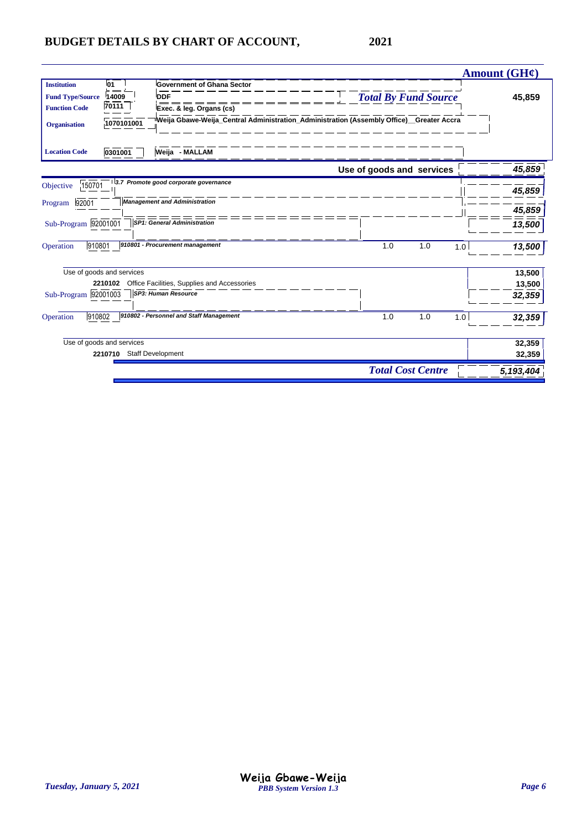|                         |                           |                                             |                                                                                                       | <b>Amount (GH¢)</b> |
|-------------------------|---------------------------|---------------------------------------------|-------------------------------------------------------------------------------------------------------|---------------------|
| <b>Institution</b>      | l01                       | <b>Government of Ghana Sector</b>           |                                                                                                       |                     |
| <b>Fund Type/Source</b> | 14009                     | <b>DDF</b>                                  | <b>Total By Fund Source</b>                                                                           | 45,859              |
| <b>Function Code</b>    | 70111                     | Exec. & leg. Organs (cs)                    |                                                                                                       |                     |
| <b>Organisation</b>     | 1070101001                |                                             | <sup>i</sup> Weija Gbawe-Weija_Central Administration_Administration (Assembly Office)__Greater Accra |                     |
| <b>Location Code</b>    | 0301001                   | Weija - MALLAM                              |                                                                                                       |                     |
|                         |                           |                                             | Use of goods and services                                                                             | 45,859              |
| 150701<br>Objective     |                           | 3.7 Promote good corporate governance       |                                                                                                       | 45,859              |
| 92001<br>Program        |                           | <b>Management and Administration</b>        |                                                                                                       | 45,859              |
| Sub-Program 92001001    |                           | <b>SP1: General Administration</b>          |                                                                                                       | 13,500              |
| 910801<br>Operation     |                           | 910801 - Procurement management             | 1.0<br>1.0                                                                                            | 13,500<br>1.0       |
|                         | Use of goods and services |                                             |                                                                                                       | 13,500              |
|                         | 2210102                   | Office Facilities, Supplies and Accessories |                                                                                                       | 13,500              |
| Sub-Program 92001003    |                           | SP3: Human Resource                         |                                                                                                       | 32,359              |
| 910802<br>Operation     |                           | 910802 - Personnel and Staff Management     | 1.0<br>1.0                                                                                            | 1.0<br>32,359       |
|                         | Use of goods and services |                                             |                                                                                                       | 32,359              |
|                         | 2210710                   | Staff Development                           |                                                                                                       | 32,359              |
|                         |                           |                                             | <b>Total Cost Centre</b>                                                                              | 5,193,404           |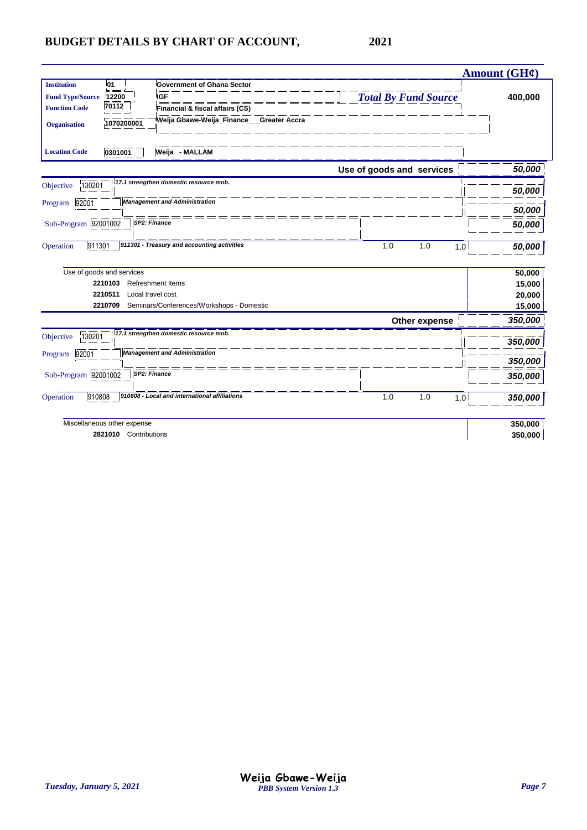|                                   |                                                                |                                                        | <b>Amount (GH¢)</b> |
|-----------------------------------|----------------------------------------------------------------|--------------------------------------------------------|---------------------|
| 01<br><b>Institution</b>          | <b>Government of Ghana Sector</b>                              |                                                        |                     |
| <b>Fund Type/Source</b><br>12200  | <b>IGF</b>                                                     | <b>Total By Fund Source</b>                            | 400,000             |
| 70112<br><b>Function Code</b>     | Financial & fiscal affairs (CS)                                |                                                        |                     |
| 1070200001<br><b>Organisation</b> |                                                                | <sup>∣</sup> Weija Gbawe-Weija_Finance___Greater Accra |                     |
| 0301001<br><b>Location Code</b>   | Weija - MALLAM                                                 |                                                        |                     |
|                                   |                                                                | Use of goods and services                              | 50,000              |
| 130201<br>Objective               | 17.1 strengthen domestic resource mob.                         |                                                        | 50,000              |
| 92001<br>Program                  | <b>Management and Administration</b>                           |                                                        |                     |
|                                   |                                                                |                                                        | 50,000              |
| Sub-Program 92001002              | SP2: Finance                                                   |                                                        | 50,000              |
|                                   | 911301 - Treasury and accounting activities                    |                                                        |                     |
| 911301<br>Operation               |                                                                | 1.0<br>1.0                                             | 1.0<br>50,000       |
|                                   |                                                                |                                                        |                     |
| Use of goods and services         |                                                                |                                                        | 50,000              |
| 2210103                           | <b>Refreshment Items</b>                                       |                                                        | 15,000              |
| 2210511                           | Local travel cost<br>Seminars/Conferences/Workshops - Domestic |                                                        | 20,000              |
| 2210709                           |                                                                |                                                        | 15,000              |
|                                   |                                                                | Other expense                                          | 350,000             |
| 130201<br>Objective               | 17.1 strengthen domestic resource mob.                         |                                                        |                     |
|                                   | <b>Management and Administration</b>                           |                                                        | 350,000             |
| 92001<br>Program                  |                                                                |                                                        | 350,000             |
| Sub-Program 92001002              | SP2: Finance                                                   |                                                        | 350,000             |
|                                   |                                                                |                                                        |                     |
| 910808<br>Operation               | 910808 - Local and international affiliations                  | 1.0<br>1.0                                             | 1.0<br>350,000      |
| Miscellaneous other expense       |                                                                |                                                        | 350,000             |
|                                   | 2821010 Contributions                                          |                                                        | 350,000             |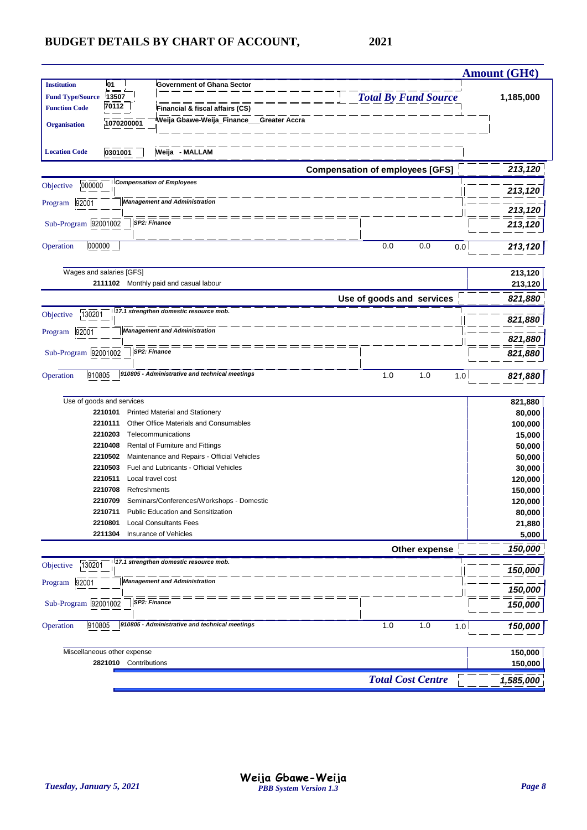|                                               |                             |                                                                                  |                                        |               | Amount (GH¢)   |
|-----------------------------------------------|-----------------------------|----------------------------------------------------------------------------------|----------------------------------------|---------------|----------------|
| <b>Institution</b><br><b>Fund Type/Source</b> | 01<br>13507                 | <b>Government of Ghana Sector</b>                                                | <b>Total By Fund Source</b>            |               | 1,185,000      |
| <b>Function Code</b>                          | 70112                       | Financial & fiscal affairs (CS)                                                  |                                        |               |                |
| <b>Organisation</b>                           | 1070200001                  | Weija Gbawe-Weija_Finance___Greater Accra                                        |                                        |               |                |
|                                               |                             |                                                                                  |                                        |               |                |
| <b>Location Code</b>                          | 0301001                     | Weija - MALLAM                                                                   |                                        |               |                |
|                                               |                             |                                                                                  | <b>Compensation of employees [GFS]</b> |               | 213,120        |
| 000000<br>Objective                           |                             | <b>Compensation of Employees</b>                                                 |                                        |               | 213,120        |
| Program 92001                                 |                             | <b>Management and Administration</b>                                             |                                        |               |                |
| Sub-Program 92001002                          |                             | SP2: Finance                                                                     |                                        |               | 213,120        |
|                                               |                             |                                                                                  |                                        |               | 213,120        |
| 000000<br>Operation                           |                             |                                                                                  | 0.0                                    | 0.0           | 0.0<br>213,120 |
|                                               |                             |                                                                                  |                                        |               |                |
|                                               | Wages and salaries [GFS]    |                                                                                  |                                        |               | 213,120        |
|                                               |                             | 2111102 Monthly paid and casual labour                                           |                                        |               | 213,120        |
|                                               |                             |                                                                                  | Use of goods and services              |               | 821,880        |
| 130201<br>Objective                           |                             | 17.1 strengthen domestic resource mob.                                           |                                        |               | 821,880        |
| 92001<br>Program                              |                             | <b>Management and Administration</b>                                             |                                        |               | 821,880        |
| Sub-Program 92001002                          |                             | SP2: Finance                                                                     |                                        |               | 821,880        |
|                                               |                             |                                                                                  |                                        |               |                |
| 910805<br>Operation                           |                             | 910805 - Administrative and technical meetings                                   | 1.0                                    | 1.0           | 1.0<br>821,880 |
|                                               |                             |                                                                                  |                                        |               |                |
|                                               | Use of goods and services   |                                                                                  |                                        |               | 821,880        |
|                                               | 2210101                     | <b>Printed Material and Stationery</b><br>Other Office Materials and Consumables |                                        |               | 80,000         |
|                                               | 2210111<br>2210203          | Telecommunications                                                               |                                        |               | 100,000        |
|                                               | 2210408                     |                                                                                  |                                        |               | 15,000         |
|                                               |                             | Rental of Furniture and Fittings<br>Maintenance and Repairs - Official Vehicles  |                                        |               | 50,000         |
|                                               | 2210502                     | Fuel and Lubricants - Official Vehicles                                          |                                        |               | 50,000         |
|                                               | 2210503                     | Local travel cost                                                                |                                        |               | 30,000         |
|                                               | 2210511                     |                                                                                  |                                        |               | 120,000        |
|                                               | Refreshments<br>2210708     |                                                                                  |                                        |               | 150,000        |
|                                               | 2210709                     | Seminars/Conferences/Workshops - Domestic<br>Public Education and Sensitization  |                                        |               | 120,000        |
|                                               | 2210711                     |                                                                                  |                                        |               | 80,000         |
|                                               | 2210801                     | <b>Local Consultants Fees</b><br>Insurance of Vehicles                           |                                        |               | 21,880         |
|                                               | 2211304                     |                                                                                  |                                        |               | 5,000          |
|                                               |                             |                                                                                  |                                        | Other expense | 150,000        |
| 130201<br>Objective                           |                             | 17.1 strengthen domestic resource mob.                                           |                                        |               | 150,000        |
| Program 92001                                 |                             | <b>Management and Administration</b>                                             |                                        |               | 150,000        |
| Sub-Program 92001002                          |                             | SP2: Finance                                                                     |                                        |               | 150,000        |
|                                               |                             |                                                                                  |                                        |               |                |
| 910805<br>Operation                           |                             | 910805 - Administrative and technical meetings                                   | 1.0                                    | 1.0           | 1.0<br>150,000 |
|                                               | Miscellaneous other expense |                                                                                  |                                        |               | 150,000        |
|                                               | 2821010 Contributions       |                                                                                  |                                        |               | 150,000        |
|                                               |                             |                                                                                  |                                        |               |                |
|                                               |                             |                                                                                  | <b>Total Cost Centre</b>               |               | 1,585,000      |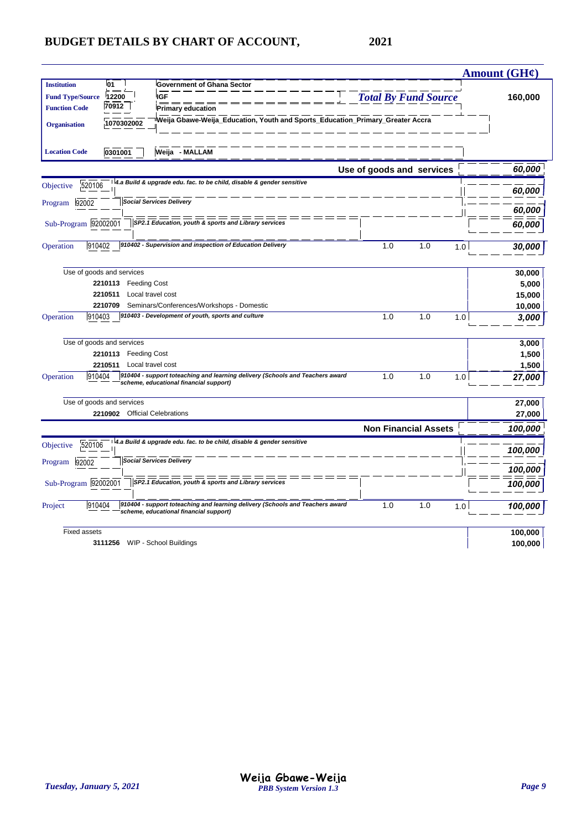|                           |                               |                                                                                                                         |                             |     |     | <b>Amount (GH¢)</b> |
|---------------------------|-------------------------------|-------------------------------------------------------------------------------------------------------------------------|-----------------------------|-----|-----|---------------------|
| <b>Institution</b>        | 01                            | <b>Government of Ghana Sector</b>                                                                                       |                             |     |     |                     |
| <b>Fund Type/Source</b>   | 12200                         | <b>IGF</b>                                                                                                              | <b>Total By Fund Source</b> |     |     | 160,000             |
| <b>Function Code</b>      | 70912                         | <b>Primary education</b>                                                                                                |                             |     |     |                     |
| <b>Organisation</b>       | 1070302002                    | Weija Gbawe-Weija_Education, Youth and Sports_Education_Primary_Greater Accra                                           |                             |     |     |                     |
|                           |                               |                                                                                                                         |                             |     |     |                     |
| <b>Location Code</b>      | 0301001                       | Weija - MALLAM                                                                                                          |                             |     |     |                     |
|                           |                               |                                                                                                                         | Use of goods and services   |     |     | 60,000              |
| 520106<br>Objective       |                               | 4.a Build & upgrade edu. fac. to be child, disable & gender sensitive                                                   |                             |     |     | 60,000              |
| 92002<br>Program          |                               | <b>Social Services Delivery</b>                                                                                         |                             |     |     |                     |
|                           |                               |                                                                                                                         |                             |     |     | 60,000              |
| Sub-Program 92002001      |                               | SP2.1 Education, youth & sports and Library services                                                                    |                             |     |     | 60,000              |
| 910402<br>Operation       |                               | 910402 - Supervision and inspection of Education Delivery                                                               | 1.0                         | 1.0 | 1.0 | 30,000              |
| Use of goods and services |                               |                                                                                                                         |                             |     |     | 30,000              |
|                           | 2210113 Feeding Cost          |                                                                                                                         |                             |     |     | 5,000               |
|                           | 2210511                       | Local travel cost                                                                                                       |                             |     |     | 15,000              |
|                           | 2210709                       | Seminars/Conferences/Workshops - Domestic                                                                               |                             |     |     | 10,000              |
| 910403<br>Operation       |                               | 910403 - Development of youth, sports and culture                                                                       | 1.0                         | 1.0 | 1.0 | 3,000               |
| Use of goods and services |                               |                                                                                                                         |                             |     |     | 3,000               |
|                           | 2210113 Feeding Cost          |                                                                                                                         |                             |     |     | 1,500               |
|                           | 2210511                       | Local travel cost                                                                                                       |                             |     |     | 1,500               |
| 910404<br>Operation       |                               | 910404 - support toteaching and learning delivery (Schools and Teachers award<br>scheme, educational financial support) | 1.0                         | 1.0 | 1.0 | 27,000              |
| Use of goods and services |                               |                                                                                                                         |                             |     |     | 27,000              |
|                           | 2210902 Official Celebrations |                                                                                                                         |                             |     |     | 27,000              |
|                           |                               |                                                                                                                         | <b>Non Financial Assets</b> |     |     | 100,000             |
| 520106<br>Objective       |                               | 4.a Build & upgrade edu. fac. to be child, disable & gender sensitive                                                   |                             |     |     | 100,000             |
| Program 92002             |                               | <b>Social Services Delivery</b>                                                                                         |                             |     |     |                     |
|                           |                               | SP2.1 Education, youth & sports and Library services                                                                    |                             |     |     | 100,000             |
| Sub-Program 92002001      |                               |                                                                                                                         |                             |     |     | 100,000             |
| 910404<br>Project         |                               | 910404 - support toteaching and learning delivery (Schools and Teachers award<br>scheme, educational financial support) | 1.0                         | 1.0 | 1.0 | 100,000             |
| <b>Fixed assets</b>       |                               |                                                                                                                         |                             |     |     | 100,000             |
|                           |                               | 3111256 WIP - School Buildings                                                                                          |                             |     |     | 100,000             |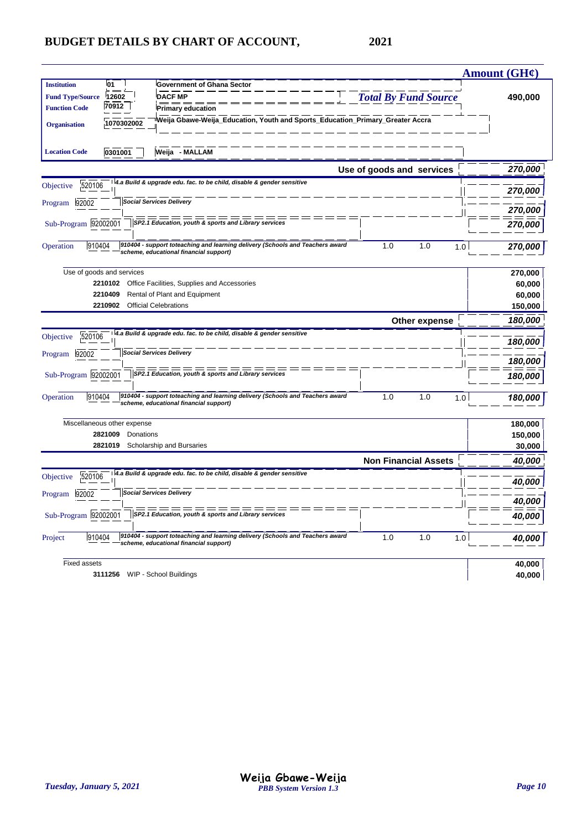|                         |                             |                                                                                                                         |                             | <b>Amount (GH¢)</b> |
|-------------------------|-----------------------------|-------------------------------------------------------------------------------------------------------------------------|-----------------------------|---------------------|
| <b>Institution</b>      | 01                          | <b>Government of Ghana Sector</b>                                                                                       |                             |                     |
| <b>Fund Type/Source</b> | 12602                       | <b>DACF MP</b>                                                                                                          | <b>Total By Fund Source</b> | 490,000             |
| <b>Function Code</b>    | 70912                       | <b>Primary education</b>                                                                                                |                             |                     |
| <b>Organisation</b>     | 1070302002                  | Weija Gbawe-Weija_Education, Youth and Sports_Education_Primary_Greater Accra                                           |                             |                     |
| <b>Location Code</b>    | 0301001                     | Weija - MALLAM                                                                                                          |                             |                     |
|                         |                             |                                                                                                                         | Use of goods and services   | 270,000             |
| 520106<br>Objective     |                             | 4.a Build & upgrade edu. fac. to be child, disable & gender sensitive                                                   |                             | 270,000             |
| Program<br>92002        |                             | <b>Social Services Delivery</b>                                                                                         |                             | 270,000             |
| Sub-Program 92002001    |                             | SP2.1 Education, youth & sports and Library services                                                                    |                             | 270,000             |
| 910404<br>Operation     |                             | 910404 - support toteaching and learning delivery (Schools and Teachers award<br>scheme, educational financial support) | 1.0<br>1.0                  | 1.0<br>270,000      |
|                         | Use of goods and services   |                                                                                                                         |                             | 270,000             |
|                         |                             | 2210102 Office Facilities, Supplies and Accessories                                                                     |                             | 60,000              |
|                         | 2210409                     | Rental of Plant and Equipment                                                                                           |                             | 60,000              |
|                         | 2210902                     | <b>Official Celebrations</b>                                                                                            |                             | 150,000             |
|                         |                             |                                                                                                                         | Other expense               | 180,000             |
| 520106<br>Objective     |                             | 4.a Build & upgrade edu. fac. to be child, disable & gender sensitive                                                   |                             | 180,000             |
| 92002<br>Program        |                             | <b>Social Services Delivery</b>                                                                                         |                             | 180,000             |
| Sub-Program 92002001    |                             | SP2.1 Education, youth & sports and Library services                                                                    |                             | 180,000             |
| 910404<br>Operation     |                             | 910404 - support toteaching and learning delivery (Schools and Teachers award<br>scheme, educational financial support) | 1.0<br>1.0                  | 1.0<br>180,000      |
|                         | Miscellaneous other expense |                                                                                                                         |                             | 180,000             |
|                         | 2821009<br>Donations        |                                                                                                                         |                             | 150,000             |
|                         | 2821019                     | Scholarship and Bursaries                                                                                               |                             | 30,000              |
|                         |                             |                                                                                                                         | <b>Non Financial Assets</b> | 40,000              |
| 520106<br>Objective     |                             | 4.a Build & upgrade edu. fac. to be child, disable & gender sensitive                                                   |                             | 40,000              |
| 92002<br>Program        |                             | <b>Social Services Delivery</b>                                                                                         |                             | 40,000              |
| Sub-Program 92002001    |                             | SP2.1 Education, youth & sports and Library services                                                                    |                             | 40,000              |
| 910404<br>Project       |                             | 910404 - support toteaching and learning delivery (Schools and Teachers award<br>scheme, educational financial support) | 1.0<br>1.0                  | 1.0<br>40,000       |
| <b>Fixed assets</b>     |                             |                                                                                                                         |                             | 40,000              |
|                         |                             | 3111256 WIP - School Buildings                                                                                          |                             | 40,000              |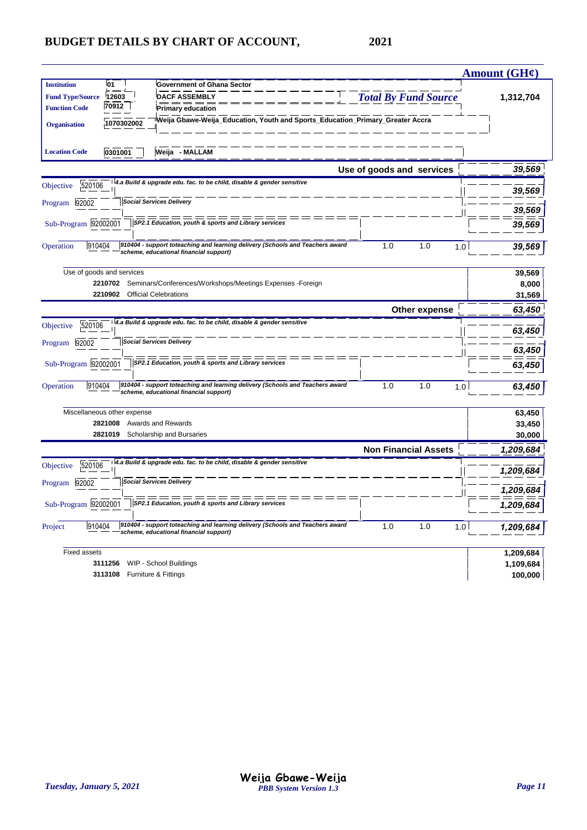|                         |                             |                                                                                                                         |                             | <b>Amount (GH¢)</b> |
|-------------------------|-----------------------------|-------------------------------------------------------------------------------------------------------------------------|-----------------------------|---------------------|
| <b>Institution</b>      | l01                         | <b>Government of Ghana Sector</b>                                                                                       |                             |                     |
| <b>Fund Type/Source</b> | 12603                       | <b>DACF ASSEMBLY</b>                                                                                                    | <b>Total By Fund Source</b> | 1,312,704           |
| <b>Function Code</b>    | 70912                       | <b>Primary education</b>                                                                                                |                             |                     |
| <b>Organisation</b>     | 1070302002                  | Weija Gbawe-Weija_Education, Youth and Sports_Education_Primary_Greater Accra                                           |                             |                     |
| <b>Location Code</b>    | 0301001                     | Weija - MALLAM                                                                                                          |                             |                     |
|                         |                             |                                                                                                                         | Use of goods and services   | 39,569              |
| 520106<br>Objective     |                             | 4.a Build & upgrade edu. fac. to be child, disable & gender sensitive                                                   |                             | 39,569              |
| 92002<br>Program        |                             | <b>Social Services Delivery</b>                                                                                         |                             | 39,569              |
| Sub-Program 92002001    |                             | SP2.1 Education, youth & sports and Library services                                                                    |                             | 39,569              |
| 910404<br>Operation     |                             | 910404 - support toteaching and learning delivery (Schools and Teachers award<br>scheme, educational financial support) | 1.0<br>1.0                  | 1.0<br>39,569       |
|                         | Use of goods and services   |                                                                                                                         |                             | 39,569              |
|                         | 2210702                     | Seminars/Conferences/Workshops/Meetings Expenses -Foreign                                                               |                             | 8,000               |
|                         | 2210902                     | <b>Official Celebrations</b>                                                                                            |                             | 31,569              |
|                         |                             |                                                                                                                         | Other expense               | 63,450              |
| 520106<br>Objective     |                             | 4.a Build & upgrade edu. fac. to be child, disable & gender sensitive                                                   |                             | 63,450              |
| 92002<br>Program        |                             | <b>Social Services Delivery</b>                                                                                         |                             | 63,450              |
| Sub-Program 92002001    |                             | SP2.1 Education, youth & sports and Library services                                                                    |                             | 63,450              |
| 910404<br>Operation     |                             | 910404 - support toteaching and learning delivery (Schools and Teachers award<br>scheme, educational financial support) | 1.0<br>1.0                  | 1.0<br>63,450       |
|                         | Miscellaneous other expense |                                                                                                                         |                             | 63,450              |
|                         | 2821008                     | Awards and Rewards                                                                                                      |                             | 33,450              |
|                         | 2821019                     | Scholarship and Bursaries                                                                                               |                             | 30,000              |
|                         |                             |                                                                                                                         | <b>Non Financial Assets</b> | 1,209,684           |
| 520106<br>Objective     |                             | 4.a Build & upgrade edu. fac. to be child, disable & gender sensitive                                                   |                             | 1,209,684           |
| 92002<br>Program        |                             | <b>Social Services Delivery</b>                                                                                         |                             | 1,209,684           |
| Sub-Program 92002001    |                             | SP2.1 Education, youth & sports and Library services                                                                    |                             | 1,209,684           |
| 910404<br>Project       |                             | 910404 - support toteaching and learning delivery (Schools and Teachers award<br>scheme, educational financial support) | 1.0<br>1.0                  | 1,209,684<br>1.0    |
| <b>Fixed assets</b>     |                             |                                                                                                                         |                             | 1,209,684           |
|                         | 3111256                     | WIP - School Buildings                                                                                                  |                             | 1,109,684           |
|                         | 3113108                     | Furniture & Fittings                                                                                                    |                             | 100,000             |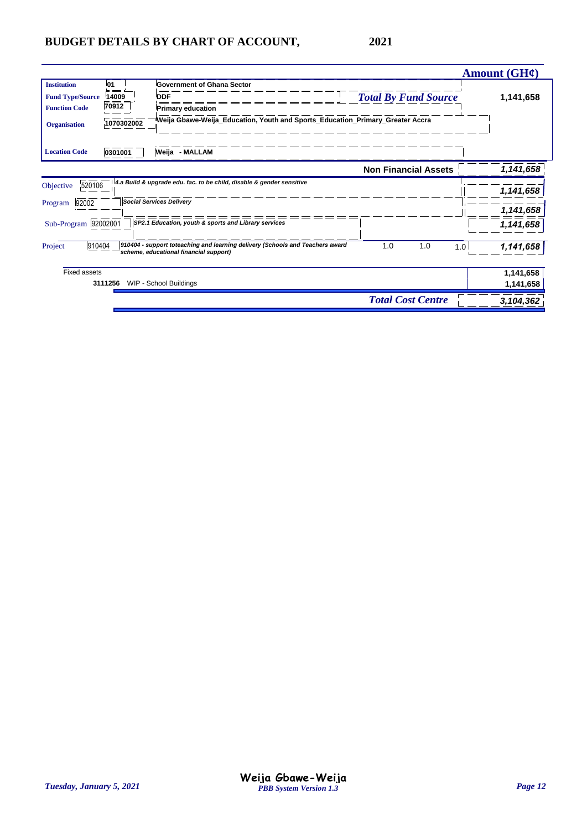|                         |            |                                                                                                                         |                             | Amount (GH¢)     |
|-------------------------|------------|-------------------------------------------------------------------------------------------------------------------------|-----------------------------|------------------|
| <b>Institution</b>      | <b>01</b>  | <b>Government of Ghana Sector</b>                                                                                       |                             |                  |
| <b>Fund Type/Source</b> | 14009      | <b>DDF</b>                                                                                                              | <b>Total By Fund Source</b> | 1,141,658        |
| <b>Function Code</b>    | 70912      | <b>Primary education</b>                                                                                                |                             |                  |
| <b>Organisation</b>     | 1070302002 | Weija Gbawe-Weija_Education, Youth and Sports_Education_Primary_Greater Accra                                           |                             |                  |
| <b>Location Code</b>    | 0301001    | Weija - MALLAM                                                                                                          |                             |                  |
|                         |            |                                                                                                                         | <b>Non Financial Assets</b> | 1,141,658        |
| 520106<br>Objective     |            | 4.a Build & upgrade edu. fac. to be child, disable & gender sensitive                                                   |                             | 1,141,658        |
| 92002<br>Program        |            | <b>Social Services Delivery</b>                                                                                         |                             | 1,141,658        |
| Sub-Program 92002001    |            | SP2.1 Education, youth & sports and Library services                                                                    |                             | 1,141,658        |
| 910404<br>Project       |            | 910404 - support toteaching and learning delivery (Schools and Teachers award<br>scheme, educational financial support) | 1.0<br>1.0                  | 1,141,658<br>1.0 |
| Fixed assets            |            |                                                                                                                         |                             | 1,141,658        |
|                         | 3111256    | WIP - School Buildings                                                                                                  |                             | 1,141,658        |
|                         |            |                                                                                                                         | <b>Total Cost Centre</b>    | 3,104,362        |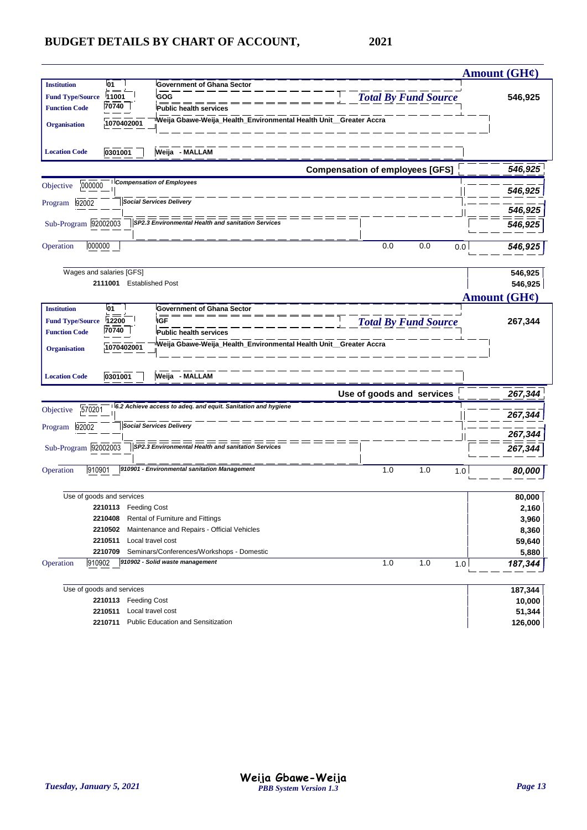| 01<br><b>Institution</b><br><b>Government of Ghana Sector</b>                                          |                                        | Amount $(GH\ell)$ |
|--------------------------------------------------------------------------------------------------------|----------------------------------------|-------------------|
|                                                                                                        |                                        |                   |
| GOG<br><b>Fund Type/Source</b><br>11001                                                                | <b>Total By Fund Source</b>            | 546,925           |
| 70740<br><b>Function Code</b><br>Public health services                                                |                                        |                   |
| Weija Gbawe-Weija_Health_Environmental Health Unit__Greater Accra<br>1070402001<br><b>Organisation</b> |                                        |                   |
|                                                                                                        |                                        |                   |
| Weija - MALLAM<br>0301001<br><b>Location Code</b>                                                      |                                        |                   |
|                                                                                                        | <b>Compensation of employees [GFS]</b> | 546,925           |
| <b>Compensation of Employees</b><br>000000<br>Objective                                                |                                        | 546,925           |
| <b>Social Services Delivery</b><br>92002<br>Program                                                    |                                        | 546,925           |
| Sub-Program 92002003<br>SP2.3 Environmental Health and sanitation Services                             |                                        |                   |
|                                                                                                        |                                        | 546,925           |
| 000000<br>Operation                                                                                    | 0.0<br>0.0<br>0.0                      | 546,925           |
|                                                                                                        |                                        |                   |
| Wages and salaries [GFS]                                                                               |                                        | 546,925           |
| 2111001 Established Post                                                                               |                                        | 546,925           |
|                                                                                                        | <b>Amount (GH¢)</b>                    |                   |
| <b>01</b><br><b>Institution</b><br>Government of Ghana Sector                                          |                                        |                   |
| <b>IGF</b><br><b>Fund Type/Source</b><br>12200                                                         | <b>Total By Fund Source</b>            | 267,344           |
| 70740<br><b>Function Code</b><br><b>Public health services</b>                                         |                                        |                   |
| Weija Gbawe-Weija_Health_Environmental Health Unit__Greater Accra<br>1070402001<br><b>Organisation</b> |                                        |                   |
|                                                                                                        |                                        |                   |
| Weija - MALLAM<br>0301001<br><b>Location Code</b>                                                      |                                        |                   |
|                                                                                                        | Use of goods and services              | 267,344           |
| 6.2 Achieve access to adeq. and equit. Sanitation and hygiene                                          |                                        |                   |
|                                                                                                        |                                        |                   |
| 570201<br>Objective                                                                                    |                                        | 267,344           |
| <b>Social Services Delivery</b><br>92002<br>Program                                                    |                                        |                   |
|                                                                                                        |                                        | 267,344           |
| Sub-Program 92002003<br>SP2.3 Environmental Health and sanitation Services                             |                                        | 267,344           |
| 910901<br>910901 - Environmental sanitation Management<br>Operation                                    | 1.0<br>1.0<br>1.0                      |                   |
|                                                                                                        |                                        | 80,000            |
| Use of goods and services                                                                              |                                        | 80,000            |
| 2210113 Feeding Cost                                                                                   |                                        | 2,160             |
| Rental of Furniture and Fittings<br>2210408                                                            |                                        | 3,960             |
| Maintenance and Repairs - Official Vehicles<br>2210502                                                 |                                        | 8,360             |
| 2210511<br>Local travel cost                                                                           |                                        | 59,640            |
| 2210709<br>Seminars/Conferences/Workshops - Domestic                                                   |                                        | 5,880             |
| 910902<br>910902 - Solid waste management<br>Operation                                                 | 1.0<br>1.0<br>1.0                      | 187,344           |
|                                                                                                        |                                        |                   |
| Use of goods and services                                                                              |                                        | 187,344           |
| 2210113 Feeding Cost<br>Local travel cost<br>2210511                                                   |                                        | 10,000<br>51,344  |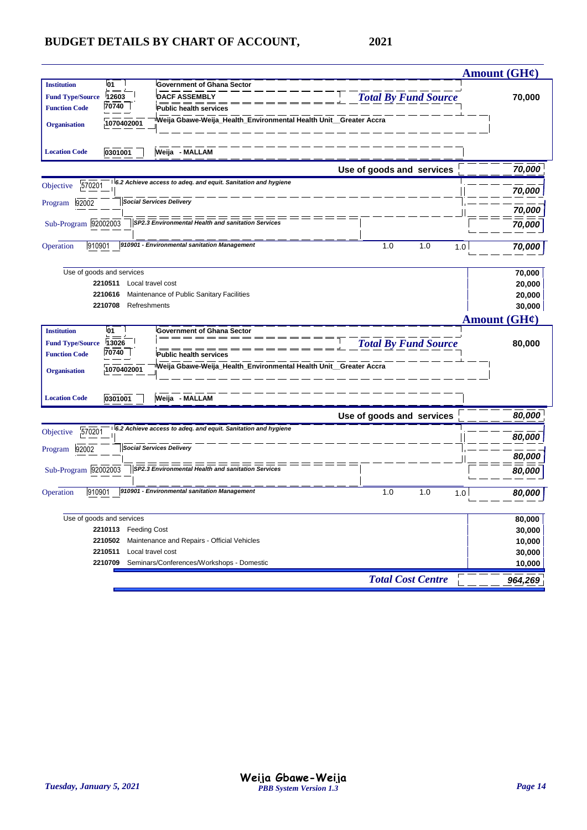|                                                                                                       | <b>Amount (GH¢)</b> |
|-------------------------------------------------------------------------------------------------------|---------------------|
| l01<br><b>Institution</b><br><b>Government of Ghana Sector</b>                                        |                     |
| <b>DACF ASSEMBLY</b><br><b>Total By Fund Source</b><br><b>Fund Type/Source</b><br>12603               | 70,000              |
| $\frac{1}{70740}$<br><b>Function Code</b><br><b>Public health services</b>                            |                     |
| Weija Gbawe-Weija_Health_Environmental Health Unit_Greater Accra<br>1070402001<br><b>Organisation</b> |                     |
|                                                                                                       |                     |
| <b>Location Code</b><br>Weija - MALLAM<br>0301001                                                     |                     |
| Use of goods and services                                                                             | 70,000              |
| 6.2 Achieve access to adeq. and equit. Sanitation and hygiene<br>570201<br>Objective                  | 70,000              |
| <b>Social Services Delivery</b><br>Program 92002                                                      |                     |
|                                                                                                       | 70,000              |
| Sub-Program 92002003<br>SP2.3 Environmental Health and sanitation Services                            | 70,000              |
| 910901<br>910901 - Environmental sanitation Management<br>1.0<br>1.0<br>Operation<br>1.0              |                     |
|                                                                                                       | 70,000              |
| Use of goods and services                                                                             | 70,000              |
| 2210511<br>Local travel cost                                                                          | 20,000              |
| Maintenance of Public Sanitary Facilities<br>2210616                                                  | 20,000              |
| 2210708<br>Refreshments                                                                               | 30,000              |
|                                                                                                       | Amount $(GH\ell)$   |
| <b>Institution</b><br>l01<br><b>Government of Ghana Sector</b>                                        |                     |
| <b>Total By Fund Source</b><br>13026<br><b>Fund Type/Source</b>                                       | 80,000              |
| 70740<br><b>Function Code</b><br><b>Public health services</b>                                        |                     |
| Weija Gbawe-Weija_Health_Environmental Health Unit_Greater Accra<br>1070402001<br><b>Organisation</b> |                     |
|                                                                                                       |                     |
| 0301001<br>Weija - MALLAM<br><b>Location Code</b>                                                     |                     |
| Use of goods and services                                                                             | 80,000              |
| 6.2 Achieve access to adeq. and equit. Sanitation and hygiene<br>570201<br>Objective                  | 80,000              |
| <b>Social Services Delivery</b><br>Program 92002                                                      |                     |
|                                                                                                       | 80,000              |
| Sub-Program 92002003<br>SP2.3 Environmental Health and sanitation Services                            | 80,000              |
| 910901 - Environmental sanitation Management<br>910901<br>1.0<br>1.0<br>Operation<br>1.0              | 80,000              |
|                                                                                                       |                     |
| Use of goods and services                                                                             | 80,000              |
| 2210113 Feeding Cost                                                                                  | 30,000              |
| 2210502 Maintenance and Repairs - Official Vehicles                                                   | 10,000              |
| 2210511 Local travel cost                                                                             | 30,000              |
|                                                                                                       |                     |
| 2210709 Seminars/Conferences/Workshops - Domestic<br><b>Total Cost Centre</b>                         | 10,000<br>964,269   |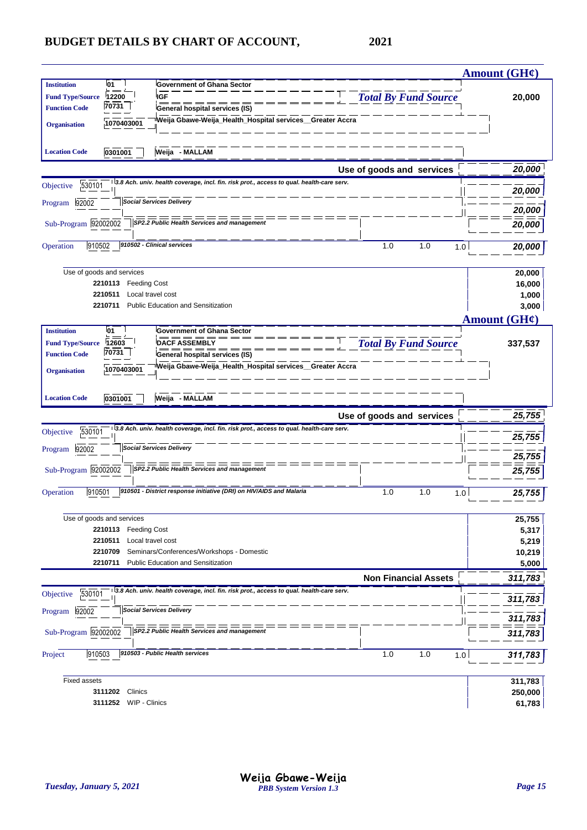|                                                 |                                |                                                                                            |                             | Amount $(GH\mathcal{C})$ |
|-------------------------------------------------|--------------------------------|--------------------------------------------------------------------------------------------|-----------------------------|--------------------------|
| <b>Institution</b>                              | 01                             | <b>Government of Ghana Sector</b>                                                          |                             |                          |
| <b>Fund Type/Source</b>                         | 12200                          | <b>IGF</b>                                                                                 | <b>Total By Fund Source</b> | 20,000                   |
| <b>Function Code</b>                            | 70731                          | General hospital services (IS)                                                             |                             |                          |
| <b>Organisation</b>                             | 1070403001                     | Weija Gbawe-Weija_Health_Hospital services_Greater Accra                                   |                             |                          |
|                                                 |                                |                                                                                            |                             |                          |
| <b>Location Code</b>                            | 0301001                        | Weija - MALLAM                                                                             |                             |                          |
|                                                 |                                |                                                                                            | Use of goods and services   | 20,000                   |
| 530101<br>Objective                             |                                | 3.8 Ach. univ. health coverage, incl. fin. risk prot., access to qual. health-care serv.   |                             |                          |
|                                                 |                                |                                                                                            |                             | 20,000                   |
| Program 92002                                   |                                | <b>Social Services Delivery</b>                                                            |                             | 20,000                   |
| Sub-Program 92002002                            |                                | SP2.2 Public Health Services and management                                                |                             | 20,000                   |
|                                                 |                                |                                                                                            |                             |                          |
| Operation<br>910502                             |                                | 910502 - Clinical services                                                                 | 1.0<br>1.0<br>1.0           | 20,000                   |
|                                                 |                                |                                                                                            |                             |                          |
|                                                 | Use of goods and services      |                                                                                            |                             | 20,000                   |
|                                                 | 2210113<br><b>Feeding Cost</b> |                                                                                            |                             | 16,000                   |
|                                                 | 2210511                        | Local travel cost                                                                          |                             | 1,000                    |
|                                                 | 2210711                        | <b>Public Education and Sensitization</b>                                                  |                             | 3,000                    |
|                                                 |                                |                                                                                            |                             | <b>Amount (GH¢)</b>      |
| <b>Institution</b>                              | 01                             | <b>Government of Ghana Sector</b>                                                          |                             |                          |
| <b>Fund Type/Source</b><br><b>Function Code</b> | 12603<br>70731                 | <b>DACF ASSEMBLY</b>                                                                       | <b>Total By Fund Source</b> | 337,537                  |
|                                                 |                                | General hospital services (IS)<br>Weija Gbawe-Weija_Health_Hospital services_Greater Accra |                             |                          |
| <b>Organisation</b>                             | 1070403001                     |                                                                                            |                             |                          |
|                                                 |                                |                                                                                            |                             |                          |
| <b>Location Code</b>                            | 0301001                        | Weija - MALLAM                                                                             |                             |                          |
|                                                 |                                |                                                                                            | Use of goods and services   | 25,755                   |
| 530101<br>Objective                             |                                | 3.8 Ach. univ. health coverage, incl. fin. risk prot., access to qual. health-care serv.   |                             |                          |
|                                                 |                                |                                                                                            |                             | 25,755                   |
| 92002<br>Program                                |                                | <b>Social Services Delivery</b>                                                            |                             | 25,755                   |
| Sub-Program 92002002                            |                                | SP2.2 Public Health Services and management                                                |                             | 25,755                   |
|                                                 |                                |                                                                                            |                             |                          |
| 910501<br>Operation                             |                                | 910501 - District response initiative (DRI) on HIV/AIDS and Malaria                        | 1.0<br>1.0<br>1.0           | 25,755                   |
|                                                 |                                |                                                                                            |                             |                          |
|                                                 | Use of goods and services      |                                                                                            |                             | 25,755                   |
|                                                 | 2210113 Feeding Cost           |                                                                                            |                             | 5,317                    |
|                                                 | 2210511                        | Local travel cost                                                                          |                             | 5,219                    |
|                                                 | 2210709                        | Seminars/Conferences/Workshops - Domestic                                                  |                             | 10,219                   |
|                                                 | 2210711                        | Public Education and Sensitization                                                         |                             | 5,000                    |
|                                                 |                                |                                                                                            | <b>Non Financial Assets</b> | 311,783                  |
| 530101<br>Objective                             |                                | 3.8 Ach. univ. health coverage, incl. fin. risk prot., access to qual. health-care serv.   |                             | 311,783                  |
| 92002<br>Program                                |                                | <b>Social Services Delivery</b>                                                            |                             |                          |
|                                                 |                                |                                                                                            |                             | 311,783                  |
| Sub-Program 92002002                            |                                | SP2.2 Public Health Services and management                                                |                             | 311,783                  |
|                                                 |                                |                                                                                            |                             |                          |
| 910503<br>Project                               |                                | 910503 - Public Health services                                                            | 1.0<br>1.0<br>1.0           | 311,783                  |
|                                                 |                                |                                                                                            |                             |                          |
| <b>Fixed assets</b>                             |                                |                                                                                            |                             | 311,783                  |
|                                                 | Clinics<br>3111202             |                                                                                            |                             | 250,000                  |
|                                                 | 3111252 WIP - Clinics          |                                                                                            |                             | 61,783                   |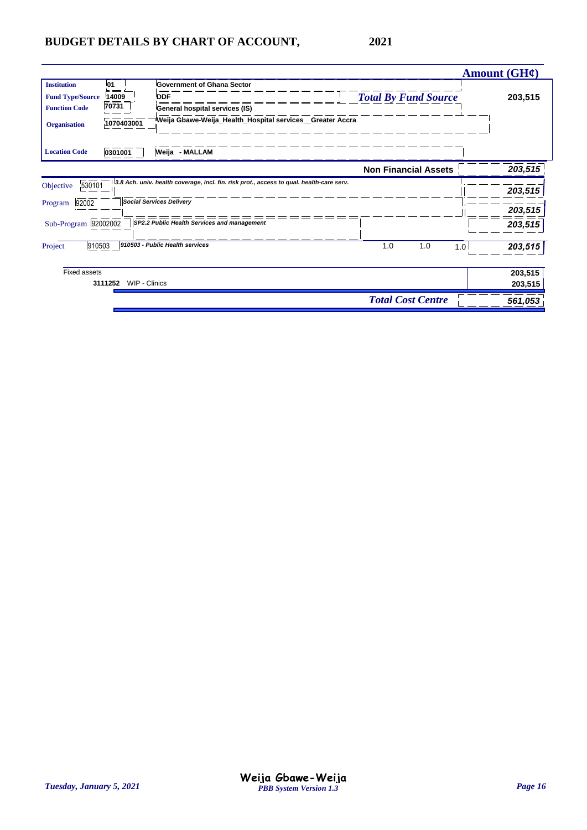|                         |                          |                                                                                          |                             | Amount $(GH\ell)$ |
|-------------------------|--------------------------|------------------------------------------------------------------------------------------|-----------------------------|-------------------|
| <b>Institution</b>      | 01                       | <b>Government of Ghana Sector</b>                                                        |                             |                   |
| <b>Fund Type/Source</b> | 14009                    | <b>DDF</b>                                                                               | <b>Total By Fund Source</b> | 203,515           |
| <b>Function Code</b>    | $\frac{1}{70731}$        | General hospital services (IS)                                                           |                             |                   |
| <b>Organisation</b>     | 1070403001               | Weija Gbawe-Weija_Health_Hospital services__Greater Accra                                |                             |                   |
| <b>Location Code</b>    | 0301001                  | Weija - MALLAM                                                                           |                             |                   |
|                         |                          |                                                                                          | <b>Non Financial Assets</b> | 203,515           |
| 530101<br>Objective     |                          | 3.8 Ach. univ. health coverage, incl. fin. risk prot., access to qual. health-care serv. |                             | 203,515           |
| 92002<br>Program        |                          | <b>Social Services Delivery</b>                                                          |                             | 203,515           |
| Sub-Program 92002002    |                          | SP2.2 Public Health Services and management                                              |                             | 203,515           |
| 910503<br>Project       |                          | 910503 - Public Health services                                                          | 1.0<br>1.0                  | 203,515<br>1.0    |
| <b>Fixed assets</b>     |                          |                                                                                          |                             | 203,515           |
|                         | 3111252<br>WIP - Clinics |                                                                                          |                             | 203,515           |
|                         |                          |                                                                                          | <b>Total Cost Centre</b>    | 561,053           |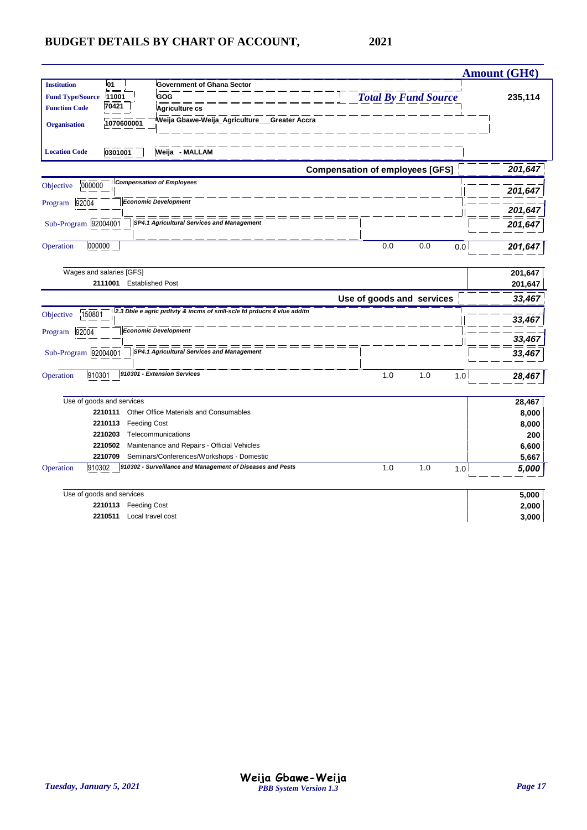| 01<br><b>Government of Ghana Sector</b><br><b>Institution</b><br><b>Total By Fund Source</b><br>GOG<br><b>Fund Type/Source</b><br>11001<br>235,114<br>70421<br><b>Function Code</b><br>Agriculture cs<br>Weija Gbawe-Weija_Agriculture___Greater Accra<br>1070600001<br><b>Organisation</b><br>Weija - MALLAM<br><b>Location Code</b><br>0301001<br><b>Compensation of employees [GFS]</b><br>201,647<br><b>Compensation of Employees</b><br>000000<br>201,647<br><b>Economic Development</b><br>92004<br>201,647<br>Sub-Program 92004001<br>SP4.1 Agricultural Services and Management<br>201,647<br>000000<br>0.0<br>0.0<br>0.0<br>201,647<br>Wages and salaries [GFS]<br>201,647<br>2111001<br><b>Established Post</b><br>201,647<br>Use of goods and services<br>33,467<br>2.3 Dble e agric prdtvty & incms of smll-scle fd prducrs 4 vlue additn<br>150801<br>33,467<br><b>Economic Development</b><br>33,467<br>Sub-Program 92004001<br><b>SP4.1 Agricultural Services and Management</b><br>33,467<br>910301 - Extension Services<br>910301<br>1.0<br>1.0<br>1.0<br>28,467<br>Use of goods and services<br>28,467<br>Other Office Materials and Consumables<br>2210111<br>8,000<br>2210113<br><b>Feeding Cost</b><br>8,000<br>2210203<br>Telecommunications<br>200<br>Maintenance and Repairs - Official Vehicles<br>2210502<br>6,600<br>Seminars/Conferences/Workshops - Domestic<br>2210709<br>5,667<br>910302 - Surveillance and Management of Diseases and Pests<br>910302<br>1.0<br>1.0<br>1.0<br>5,000<br>Use of goods and services<br>5,000<br><b>Feeding Cost</b><br>2,000<br>2210113<br>Local travel cost<br>2210511<br>3,000 |               |  | <b>Amount (GH¢)</b> |
|-----------------------------------------------------------------------------------------------------------------------------------------------------------------------------------------------------------------------------------------------------------------------------------------------------------------------------------------------------------------------------------------------------------------------------------------------------------------------------------------------------------------------------------------------------------------------------------------------------------------------------------------------------------------------------------------------------------------------------------------------------------------------------------------------------------------------------------------------------------------------------------------------------------------------------------------------------------------------------------------------------------------------------------------------------------------------------------------------------------------------------------------------------------------------------------------------------------------------------------------------------------------------------------------------------------------------------------------------------------------------------------------------------------------------------------------------------------------------------------------------------------------------------------------------------------------------------------------------------------------------------------------------|---------------|--|---------------------|
|                                                                                                                                                                                                                                                                                                                                                                                                                                                                                                                                                                                                                                                                                                                                                                                                                                                                                                                                                                                                                                                                                                                                                                                                                                                                                                                                                                                                                                                                                                                                                                                                                                               |               |  |                     |
|                                                                                                                                                                                                                                                                                                                                                                                                                                                                                                                                                                                                                                                                                                                                                                                                                                                                                                                                                                                                                                                                                                                                                                                                                                                                                                                                                                                                                                                                                                                                                                                                                                               |               |  |                     |
|                                                                                                                                                                                                                                                                                                                                                                                                                                                                                                                                                                                                                                                                                                                                                                                                                                                                                                                                                                                                                                                                                                                                                                                                                                                                                                                                                                                                                                                                                                                                                                                                                                               |               |  |                     |
|                                                                                                                                                                                                                                                                                                                                                                                                                                                                                                                                                                                                                                                                                                                                                                                                                                                                                                                                                                                                                                                                                                                                                                                                                                                                                                                                                                                                                                                                                                                                                                                                                                               |               |  |                     |
|                                                                                                                                                                                                                                                                                                                                                                                                                                                                                                                                                                                                                                                                                                                                                                                                                                                                                                                                                                                                                                                                                                                                                                                                                                                                                                                                                                                                                                                                                                                                                                                                                                               |               |  |                     |
|                                                                                                                                                                                                                                                                                                                                                                                                                                                                                                                                                                                                                                                                                                                                                                                                                                                                                                                                                                                                                                                                                                                                                                                                                                                                                                                                                                                                                                                                                                                                                                                                                                               |               |  |                     |
|                                                                                                                                                                                                                                                                                                                                                                                                                                                                                                                                                                                                                                                                                                                                                                                                                                                                                                                                                                                                                                                                                                                                                                                                                                                                                                                                                                                                                                                                                                                                                                                                                                               | Objective     |  |                     |
|                                                                                                                                                                                                                                                                                                                                                                                                                                                                                                                                                                                                                                                                                                                                                                                                                                                                                                                                                                                                                                                                                                                                                                                                                                                                                                                                                                                                                                                                                                                                                                                                                                               | Program       |  |                     |
|                                                                                                                                                                                                                                                                                                                                                                                                                                                                                                                                                                                                                                                                                                                                                                                                                                                                                                                                                                                                                                                                                                                                                                                                                                                                                                                                                                                                                                                                                                                                                                                                                                               |               |  |                     |
|                                                                                                                                                                                                                                                                                                                                                                                                                                                                                                                                                                                                                                                                                                                                                                                                                                                                                                                                                                                                                                                                                                                                                                                                                                                                                                                                                                                                                                                                                                                                                                                                                                               | Operation     |  |                     |
|                                                                                                                                                                                                                                                                                                                                                                                                                                                                                                                                                                                                                                                                                                                                                                                                                                                                                                                                                                                                                                                                                                                                                                                                                                                                                                                                                                                                                                                                                                                                                                                                                                               |               |  |                     |
|                                                                                                                                                                                                                                                                                                                                                                                                                                                                                                                                                                                                                                                                                                                                                                                                                                                                                                                                                                                                                                                                                                                                                                                                                                                                                                                                                                                                                                                                                                                                                                                                                                               |               |  |                     |
|                                                                                                                                                                                                                                                                                                                                                                                                                                                                                                                                                                                                                                                                                                                                                                                                                                                                                                                                                                                                                                                                                                                                                                                                                                                                                                                                                                                                                                                                                                                                                                                                                                               |               |  |                     |
|                                                                                                                                                                                                                                                                                                                                                                                                                                                                                                                                                                                                                                                                                                                                                                                                                                                                                                                                                                                                                                                                                                                                                                                                                                                                                                                                                                                                                                                                                                                                                                                                                                               | Objective     |  |                     |
|                                                                                                                                                                                                                                                                                                                                                                                                                                                                                                                                                                                                                                                                                                                                                                                                                                                                                                                                                                                                                                                                                                                                                                                                                                                                                                                                                                                                                                                                                                                                                                                                                                               | Program 92004 |  |                     |
|                                                                                                                                                                                                                                                                                                                                                                                                                                                                                                                                                                                                                                                                                                                                                                                                                                                                                                                                                                                                                                                                                                                                                                                                                                                                                                                                                                                                                                                                                                                                                                                                                                               |               |  |                     |
|                                                                                                                                                                                                                                                                                                                                                                                                                                                                                                                                                                                                                                                                                                                                                                                                                                                                                                                                                                                                                                                                                                                                                                                                                                                                                                                                                                                                                                                                                                                                                                                                                                               | Operation     |  |                     |
|                                                                                                                                                                                                                                                                                                                                                                                                                                                                                                                                                                                                                                                                                                                                                                                                                                                                                                                                                                                                                                                                                                                                                                                                                                                                                                                                                                                                                                                                                                                                                                                                                                               |               |  |                     |
|                                                                                                                                                                                                                                                                                                                                                                                                                                                                                                                                                                                                                                                                                                                                                                                                                                                                                                                                                                                                                                                                                                                                                                                                                                                                                                                                                                                                                                                                                                                                                                                                                                               |               |  |                     |
|                                                                                                                                                                                                                                                                                                                                                                                                                                                                                                                                                                                                                                                                                                                                                                                                                                                                                                                                                                                                                                                                                                                                                                                                                                                                                                                                                                                                                                                                                                                                                                                                                                               |               |  |                     |
|                                                                                                                                                                                                                                                                                                                                                                                                                                                                                                                                                                                                                                                                                                                                                                                                                                                                                                                                                                                                                                                                                                                                                                                                                                                                                                                                                                                                                                                                                                                                                                                                                                               |               |  |                     |
|                                                                                                                                                                                                                                                                                                                                                                                                                                                                                                                                                                                                                                                                                                                                                                                                                                                                                                                                                                                                                                                                                                                                                                                                                                                                                                                                                                                                                                                                                                                                                                                                                                               |               |  |                     |
|                                                                                                                                                                                                                                                                                                                                                                                                                                                                                                                                                                                                                                                                                                                                                                                                                                                                                                                                                                                                                                                                                                                                                                                                                                                                                                                                                                                                                                                                                                                                                                                                                                               |               |  |                     |
|                                                                                                                                                                                                                                                                                                                                                                                                                                                                                                                                                                                                                                                                                                                                                                                                                                                                                                                                                                                                                                                                                                                                                                                                                                                                                                                                                                                                                                                                                                                                                                                                                                               | Operation     |  |                     |
|                                                                                                                                                                                                                                                                                                                                                                                                                                                                                                                                                                                                                                                                                                                                                                                                                                                                                                                                                                                                                                                                                                                                                                                                                                                                                                                                                                                                                                                                                                                                                                                                                                               |               |  |                     |
|                                                                                                                                                                                                                                                                                                                                                                                                                                                                                                                                                                                                                                                                                                                                                                                                                                                                                                                                                                                                                                                                                                                                                                                                                                                                                                                                                                                                                                                                                                                                                                                                                                               |               |  |                     |
|                                                                                                                                                                                                                                                                                                                                                                                                                                                                                                                                                                                                                                                                                                                                                                                                                                                                                                                                                                                                                                                                                                                                                                                                                                                                                                                                                                                                                                                                                                                                                                                                                                               |               |  |                     |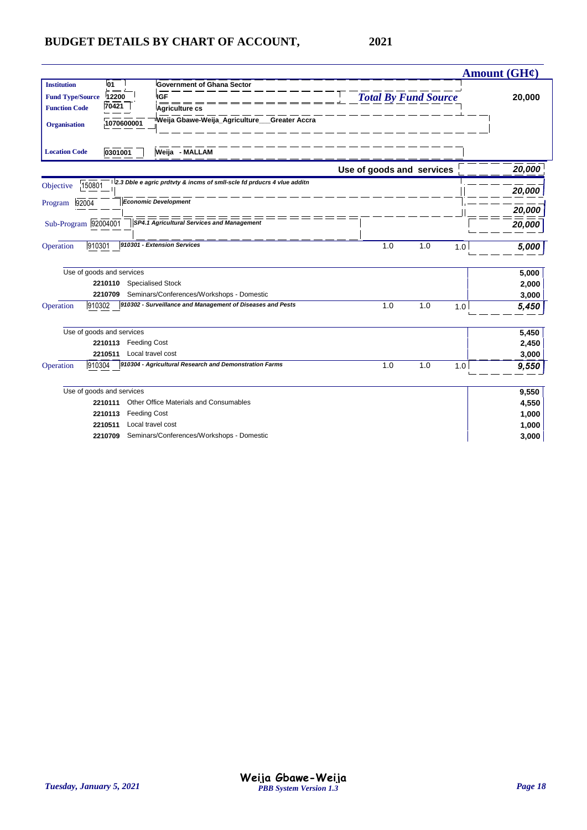|                         |                                |                                                                        |                             |            | Amount (GH¢) |
|-------------------------|--------------------------------|------------------------------------------------------------------------|-----------------------------|------------|--------------|
| <b>Institution</b>      | <sup>1</sup> 01                | <b>Government of Ghana Sector</b>                                      |                             |            |              |
| <b>Fund Type/Source</b> | 12200                          | <b>IGF</b>                                                             | <b>Total By Fund Source</b> |            | 20,000       |
| <b>Function Code</b>    | $\frac{1}{70421}$              | Agriculture cs                                                         |                             |            |              |
| <b>Organisation</b>     | 1070600001                     | Weija Gbawe-Weija_Agriculture___Greater Accra                          |                             |            |              |
| <b>Location Code</b>    | 0301001                        | Weija - MALLAM                                                         |                             |            |              |
|                         |                                |                                                                        | Use of goods and services   |            | 20,000       |
| 150801<br>Objective     |                                | 2.3 Dble e agric prdtvty & incms of smll-scle fd prducrs 4 vlue additn |                             |            | 20,000       |
| 92004<br>Program        |                                | <b>Economic Development</b>                                            |                             |            | 20,000       |
| Sub-Program 92004001    |                                | SP4.1 Agricultural Services and Management                             |                             |            | 20,000       |
| 910301<br>Operation     |                                | 910301 - Extension Services                                            | 1.0                         | 1.0<br>1.0 | 5,000        |
|                         | Use of goods and services      |                                                                        |                             |            | 5,000        |
|                         | 2210110                        | <b>Specialised Stock</b>                                               |                             |            | 2,000        |
|                         | 2210709                        | Seminars/Conferences/Workshops - Domestic                              |                             |            | 3,000        |
| 910302<br>Operation     |                                | 910302 - Surveillance and Management of Diseases and Pests             | 1.0                         | 1.0<br>1.0 | 5,450        |
|                         | Use of goods and services      |                                                                        |                             |            | 5,450        |
|                         | <b>Feeding Cost</b><br>2210113 |                                                                        |                             |            | 2,450        |
|                         | 2210511                        | Local travel cost                                                      |                             |            | 3,000        |
| 910304<br>Operation     |                                | 910304 - Agricultural Research and Demonstration Farms                 | 1.0                         | 1.0<br>1.0 | 9,550        |
|                         | Use of goods and services      |                                                                        |                             |            | 9,550        |
|                         | 2210111                        | Other Office Materials and Consumables                                 |                             |            | 4,550        |
|                         | <b>Feeding Cost</b><br>2210113 |                                                                        |                             |            | 1,000        |
|                         | 2210511                        | Local travel cost                                                      |                             |            | 1,000        |
|                         | 2210709                        | Seminars/Conferences/Workshops - Domestic                              |                             |            | 3,000        |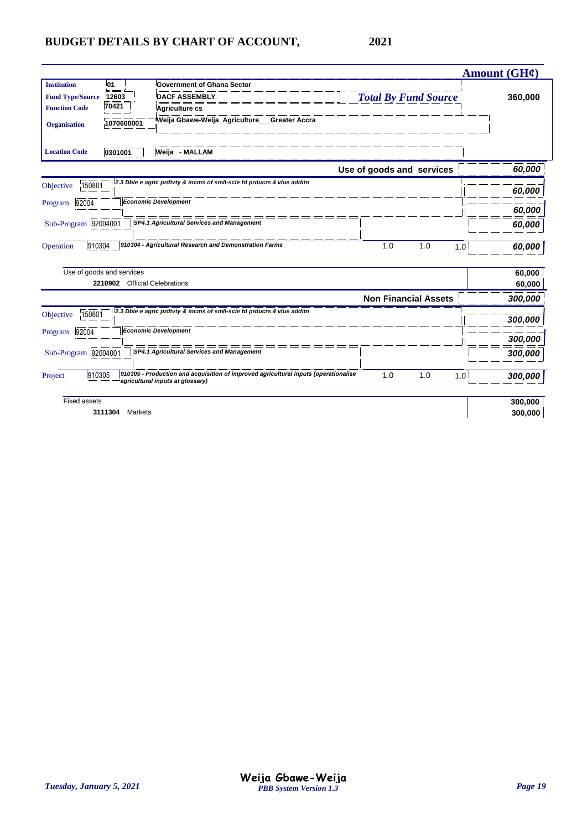|                                                                                              |                                     |                                                                                                                            |                             | Amount (GH¢) |
|----------------------------------------------------------------------------------------------|-------------------------------------|----------------------------------------------------------------------------------------------------------------------------|-----------------------------|--------------|
| <b>Institution</b><br><b>Fund Type/Source</b><br><b>Function Code</b><br><b>Organisation</b> | l01<br>12603<br>70421<br>1070600001 | <b>Government of Ghana Sector</b><br><b>DACF ASSEMBLY</b><br>Agriculture cs<br>Weija Gbawe-Weija Agriculture Greater Accra | <b>Total By Fund Source</b> | 360,000      |
| <b>Location Code</b>                                                                         | 0301001                             | Weija - MALLAM                                                                                                             |                             |              |
|                                                                                              |                                     |                                                                                                                            | Use of goods and services   | 60,000       |
| 150801<br>Objective                                                                          |                                     | 2.3 Dble e agric prdtvty & incms of smil-scle fd prducrs 4 viue additn                                                     |                             | 60,000       |
| 92004<br>Program                                                                             |                                     | <b>Economic Development</b>                                                                                                |                             | 60,000       |
| Sub-Program 92004001                                                                         |                                     | SP4.1 Agricultural Services and Management                                                                                 |                             | 60,000       |
| 910304<br>Operation                                                                          |                                     | 910304 - Agricultural Research and Demonstration Farms                                                                     | 1.0<br>1.0<br>1.0           | 60.000       |
|                                                                                              | Use of goods and services           |                                                                                                                            |                             | 60,000       |
|                                                                                              | 2210902 Official Celebrations       |                                                                                                                            |                             | 60,000       |
|                                                                                              |                                     |                                                                                                                            | <b>Non Financial Assets</b> | 300,000      |
| 150801<br>Objective                                                                          |                                     | 2.3 Dble e agric prdtvty & incms of smil-scle fd prducrs 4 viue additn                                                     |                             | 300,000      |
| 92004<br>Program                                                                             |                                     | <b>Economic Development</b>                                                                                                |                             | 300,000      |
| Sub-Program 92004001                                                                         |                                     | SP4.1 Agricultural Services and Management                                                                                 |                             | 300,000      |
| 910305<br>Project                                                                            |                                     | 910305 - Production and acquisition of improved agricultural inputs (operationalise<br>agricultural inputs at glossary)    | 1.0<br>1.0<br>1.0           | 300,000      |
| <b>Fixed assets</b>                                                                          |                                     |                                                                                                                            |                             | 300,000      |
|                                                                                              | 3111304<br>Markets                  |                                                                                                                            |                             | 300,000      |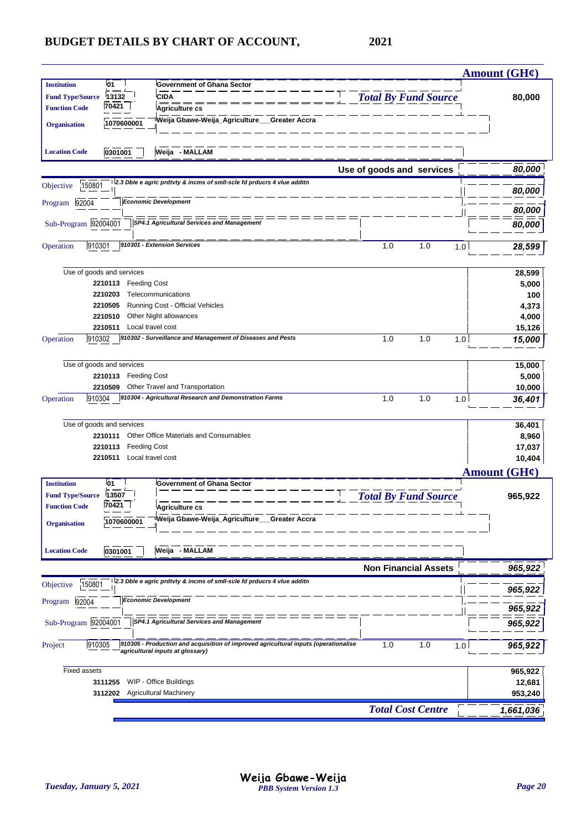|                                                 |                                                                |                                                                                     |                             | Amount (GH¢)      |
|-------------------------------------------------|----------------------------------------------------------------|-------------------------------------------------------------------------------------|-----------------------------|-------------------|
| <b>Institution</b><br><b>Fund Type/Source</b>   | <b>01</b><br>13132                                             | <b>Government of Ghana Sector</b><br><b>CIDA</b>                                    | <b>Total By Fund Source</b> | 80,000            |
| <b>Function Code</b>                            | 70421                                                          | <b>Agriculture cs</b>                                                               |                             |                   |
| <b>Organisation</b>                             | 1070600001                                                     | Weija Gbawe-Weija_Agriculture___Greater Accra                                       |                             |                   |
| <b>Location Code</b>                            | 0301001                                                        | Weija - MALLAM                                                                      |                             |                   |
|                                                 |                                                                |                                                                                     | Use of goods and services   | 80,000            |
| 150801<br>Objective                             |                                                                | 2.3 Dble e agric prdtvty & incms of smll-scle fd prducrs 4 vlue additn              |                             | 80,000            |
| 92004<br>Program                                |                                                                | <b>Economic Development</b>                                                         |                             | 80,000            |
| Sub-Program 92004001                            |                                                                | SP4.1 Agricultural Services and Management                                          |                             | 80,000            |
|                                                 |                                                                |                                                                                     |                             |                   |
| 910301<br>Operation                             |                                                                | 910301 - Extension Services                                                         | 1.0<br>1.0<br>1.0           | 28,599            |
|                                                 | Use of goods and services                                      |                                                                                     |                             | 28,599            |
|                                                 | <b>Feeding Cost</b><br>2210113                                 |                                                                                     |                             | 5,000             |
|                                                 | 2210203                                                        | Telecommunications                                                                  |                             | 100               |
|                                                 | 2210505                                                        | Running Cost - Official Vehicles                                                    |                             | 4,373             |
|                                                 | 2210510<br>Local travel cost<br>2210511                        | Other Night allowances                                                              |                             | 4,000<br>15,126   |
| 910302<br>Operation                             |                                                                | 910302 - Surveillance and Management of Diseases and Pests                          | 1.0<br>1.0<br>1.0           | 15,000            |
|                                                 |                                                                |                                                                                     |                             |                   |
|                                                 | Use of goods and services<br><b>Feeding Cost</b><br>2210113    |                                                                                     |                             | 15,000<br>5,000   |
|                                                 | 2210509                                                        | Other Travel and Transportation                                                     |                             | 10,000            |
| 910304<br>Operation                             |                                                                | 910304 - Agricultural Research and Demonstration Farms                              | 1.0<br>1.0<br>1.0           | 36,401            |
|                                                 |                                                                |                                                                                     |                             |                   |
|                                                 | Use of goods and services                                      |                                                                                     |                             | 36,401            |
|                                                 | 2210111                                                        | Other Office Materials and Consumables                                              |                             | 8,960             |
|                                                 | 2210113<br><b>Feeding Cost</b><br>Local travel cost<br>2210511 |                                                                                     |                             | 17,037<br>10,404  |
|                                                 |                                                                |                                                                                     |                             | Amount $(GH\ell)$ |
| <b>Institution</b>                              | 01                                                             | <b>Government of Ghana Sector</b>                                                   |                             |                   |
| <b>Fund Type/Source</b><br><b>Function Code</b> | 13507<br>70421                                                 |                                                                                     | <b>Total By Fund Source</b> | 965,922           |
|                                                 |                                                                | Agriculture c<br>'Weija Gbawe-Weija_Agriculture___Greater Accra                     |                             |                   |
| <b>Organisation</b>                             | 1070600001                                                     |                                                                                     |                             |                   |
| <b>Location Code</b>                            | 0301001                                                        | Weija - MALLAM                                                                      |                             |                   |
|                                                 |                                                                |                                                                                     | <b>Non Financial Assets</b> | 965,922           |
| 150801<br>Objective                             |                                                                | 2.3 Dble e agric prdtvty & incms of smil-scle fd prducrs 4 vlue additn              |                             | 965,922           |
| 92004<br>Program                                |                                                                | <b>Economic Development</b>                                                         |                             | 965,922           |
| Sub-Program 92004001                            |                                                                | =========<br>SP4.1 Agricultural Services and Management                             |                             | 965,922           |
| 910305<br>Project                               |                                                                | 910305 - Production and acquisition of improved agricultural inputs (operationalise | 1.0<br>1.0<br>1.0           |                   |
|                                                 |                                                                | agricultural inputs at glossary)                                                    |                             | 965,922           |
| <b>Fixed assets</b>                             |                                                                |                                                                                     |                             | 965,922           |
|                                                 | 3111255                                                        | WIP - Office Buildings                                                              |                             | 12,681            |
|                                                 | 3112202                                                        | <b>Agricultural Machinery</b>                                                       |                             | 953,240           |
|                                                 |                                                                |                                                                                     | <b>Total Cost Centre</b>    | 1,661,036         |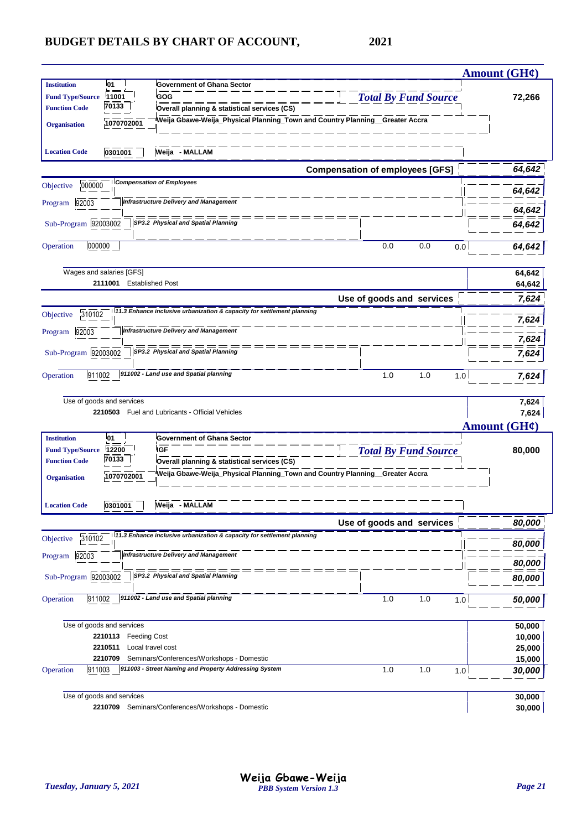|                         |                                |                                                                                                    |                                        | <b>Amount (GH¢)</b>      |
|-------------------------|--------------------------------|----------------------------------------------------------------------------------------------------|----------------------------------------|--------------------------|
| <b>Institution</b>      | 01                             | <b>Government of Ghana Sector</b>                                                                  |                                        |                          |
| <b>Fund Type/Source</b> | 11001                          | GOG                                                                                                | <b>Total By Fund Source</b>            | 72,266                   |
| <b>Function Code</b>    | 70133                          | Overall planning & statistical services (CS)                                                       |                                        |                          |
| <b>Organisation</b>     | 1070702001                     | Weija Gbawe-Weija_Physical Planning_Town and Country Planning_Greater Accra                        |                                        |                          |
| <b>Location Code</b>    | 0301001                        | Weija - MALLAM                                                                                     |                                        |                          |
|                         |                                |                                                                                                    | <b>Compensation of employees [GFS]</b> | 64,642                   |
| 000000<br>Objective     |                                | <b>Compensation of Employees</b>                                                                   |                                        | 64,642                   |
| 92003<br>Program        |                                | <b>Infrastructure Delivery and Management</b>                                                      |                                        |                          |
|                         |                                |                                                                                                    |                                        | 64,642                   |
| Sub-Program 92003002    |                                | SP3.2 Physical and Spatial Planning                                                                |                                        | 64,642                   |
| 000000<br>Operation     |                                |                                                                                                    | 0.0<br>0.0<br>0.0                      | 64,642                   |
|                         | Wages and salaries [GFS]       |                                                                                                    |                                        | 64,642                   |
|                         | 2111001                        | <b>Established Post</b>                                                                            |                                        | 64,642                   |
|                         |                                |                                                                                                    | Use of goods and services              | 7,624                    |
| 310102<br>Objective     |                                | 11.3 Enhance inclusive urbanization & capacity for settlement planning                             |                                        | 7,624                    |
| 92003<br>Program        |                                | <b>Infrastructure Delivery and Management</b>                                                      |                                        | 7,624                    |
| Sub-Program 92003002    |                                | ===<br>SP3.2 Physical and Spatial Planning                                                         |                                        | 7,624                    |
| 911002<br>Operation     |                                | 911002 - Land use and Spatial planning                                                             | 1.0<br>1.0<br>1.0                      | 7,624                    |
|                         |                                |                                                                                                    |                                        |                          |
|                         | Use of goods and services      | 2210503 Fuel and Lubricants - Official Vehicles                                                    |                                        | 7,624                    |
|                         |                                |                                                                                                    |                                        | 7,624                    |
| <b>Institution</b>      | 01                             | <b>Government of Ghana Sector</b>                                                                  |                                        | Amount $(GH\mathcal{C})$ |
| <b>Fund Type/Source</b> | 12200                          | IGF                                                                                                | <b>Total By Fund Source</b>            | 80,000                   |
| <b>Function Code</b>    | 70133                          | Overall planning & statistical services (CS)                                                       |                                        |                          |
| <b>Organisation</b>     | 1070702001                     | Weija Gbawe-Weija_Physical Planning_Town and Country Planning__Greater Accra                       |                                        |                          |
|                         |                                |                                                                                                    |                                        |                          |
| <b>Location Code</b>    | 0301001                        | Weija - MALLAM                                                                                     | Use of goods and services              | 80,000                   |
| 310102<br>Objective     |                                | 11.3 Enhance inclusive urbanization & capacity for settlement planning                             |                                        |                          |
| 92003<br>Program        |                                | <b>Infrastructure Delivery and Management</b>                                                      |                                        | 80,000                   |
| Sub-Program 92003002    |                                | SP3.2 Physical and Spatial Planning                                                                |                                        | 80,000<br>80,000         |
|                         |                                |                                                                                                    |                                        |                          |
| 911002<br>Operation     |                                | 911002 - Land use and Spatial planning                                                             | 1.0<br>1.0<br>1.0                      | 50,000                   |
|                         | Use of goods and services      |                                                                                                    |                                        | 50,000                   |
|                         | 2210113<br><b>Feeding Cost</b> |                                                                                                    |                                        | 10,000                   |
|                         | 2210511                        | Local travel cost                                                                                  |                                        | 25,000                   |
| 911003<br>Operation     | 2210709                        | Seminars/Conferences/Workshops - Domestic<br>911003 - Street Naming and Property Addressing System | 1.0<br>1.0<br>1.0                      | 15,000                   |
|                         |                                |                                                                                                    |                                        | 30,000                   |
|                         |                                |                                                                                                    |                                        |                          |
|                         | Use of goods and services      | 2210709 Seminars/Conferences/Workshops - Domestic                                                  |                                        | 30,000<br>30,000         |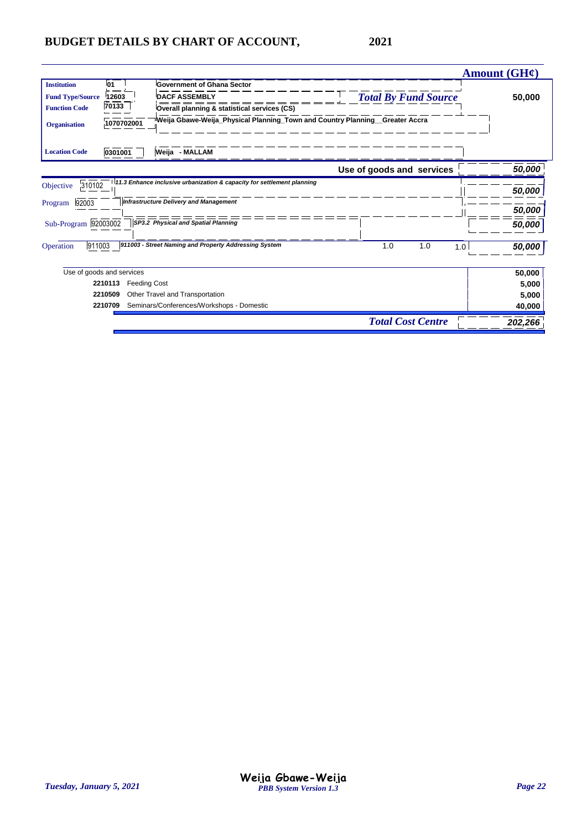|                         |                                |                                                                             |                             | Amount $(GH\ell)$ |
|-------------------------|--------------------------------|-----------------------------------------------------------------------------|-----------------------------|-------------------|
| <b>Institution</b>      | 01                             | <b>Government of Ghana Sector</b>                                           |                             |                   |
| <b>Fund Type/Source</b> | 12603                          | <b>DACF ASSEMBLY</b>                                                        | <b>Total By Fund Source</b> | 50,000            |
| <b>Function Code</b>    | 70133                          | Overall planning & statistical services (CS)                                |                             |                   |
| <b>Organisation</b>     | 1070702001                     | Weija Gbawe-Weija_Physical Planning_Town and Country Planning_Greater Accra |                             |                   |
| <b>Location Code</b>    | 0301001                        | Weija - MALLAM                                                              |                             |                   |
|                         |                                |                                                                             | Use of goods and services   | 50,000            |
| 310102<br>Objective     |                                | 11.3 Enhance inclusive urbanization & capacity for settlement planning      |                             | 50,000            |
| 92003<br>Program        |                                | <b>Infrastructure Delivery and Management</b>                               |                             | 50,000            |
| Sub-Program 92003002    |                                | SP3.2 Physical and Spatial Planning                                         |                             | 50,000            |
| 911003<br>Operation     |                                | 911003 - Street Naming and Property Addressing System                       | 1.0<br>1.0                  | 1.0<br>50,000     |
|                         | Use of goods and services      |                                                                             |                             | 50,000            |
|                         | 2210113<br><b>Feeding Cost</b> |                                                                             |                             | 5,000             |
|                         | 2210509                        | Other Travel and Transportation                                             |                             | 5,000             |
|                         | 2210709                        | Seminars/Conferences/Workshops - Domestic                                   |                             | 40,000            |
|                         |                                |                                                                             | <b>Total Cost Centre</b>    | 202,266           |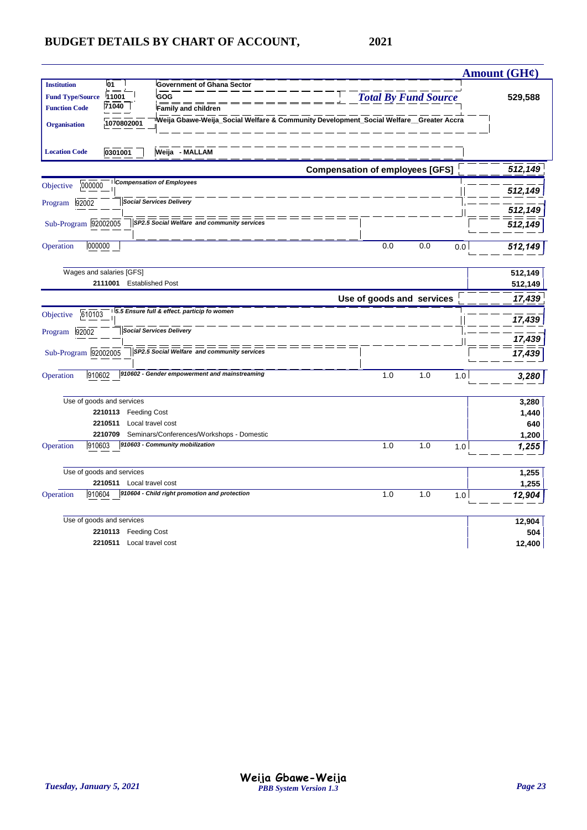|                                   |                                                                                       |                                        |     |                             |     | Amount (GH¢) |
|-----------------------------------|---------------------------------------------------------------------------------------|----------------------------------------|-----|-----------------------------|-----|--------------|
| <b>Institution</b><br>l01         | <b>Government of Ghana Sector</b>                                                     |                                        |     |                             |     |              |
| 11001<br><b>Fund Type/Source</b>  | GOG                                                                                   |                                        |     | <b>Total By Fund Source</b> |     | 529,588      |
| 71040<br><b>Function Code</b>     | <b>Family and children</b>                                                            |                                        |     |                             |     |              |
| 1070802001<br><b>Organisation</b> | Weija Gbawe-Weija_Social Welfare & Community Development_Social Welfare_Greater Accra |                                        |     |                             |     |              |
| 0301001<br><b>Location Code</b>   | Weija - MALLAM                                                                        |                                        |     |                             |     |              |
|                                   |                                                                                       | <b>Compensation of employees [GFS]</b> |     |                             |     | 512,149      |
| 000000<br>Objective               | <b>Compensation of Employees</b>                                                      |                                        |     |                             |     |              |
|                                   |                                                                                       |                                        |     |                             |     | 512,149      |
| 92002<br>Program                  | <b>Social Services Delivery</b>                                                       |                                        |     |                             |     | 512,149      |
| Sub-Program 92002005              | SP2.5 Social Welfare and community services                                           |                                        |     |                             |     | 512,149      |
|                                   |                                                                                       |                                        |     |                             |     |              |
| 000000<br>Operation               |                                                                                       |                                        | 0.0 | 0.0                         | 0.0 | 512,149      |
|                                   |                                                                                       |                                        |     |                             |     |              |
| Wages and salaries [GFS]          |                                                                                       |                                        |     |                             |     | 512,149      |
| 2111001 Established Post          |                                                                                       |                                        |     |                             |     | 512,149      |
|                                   |                                                                                       | Use of goods and services              |     |                             |     | 17,439       |
| 610103<br>Objective               | 5.5 Ensure full & effect. particip fo women                                           |                                        |     |                             |     |              |
|                                   | <b>Social Services Delivery</b>                                                       |                                        |     |                             |     | 17,439       |
| 92002<br>Program                  |                                                                                       |                                        |     |                             |     | 17,439       |
| Sub-Program 92002005              | SP2.5 Social Welfare and community services                                           |                                        |     |                             |     | 17,439       |
|                                   |                                                                                       |                                        |     |                             |     |              |
| 910602<br>Operation               | 910602 - Gender empowerment and mainstreaming                                         |                                        | 1.0 | 1.0                         | 1.0 | 3,280        |
|                                   |                                                                                       |                                        |     |                             |     |              |
| Use of goods and services         |                                                                                       |                                        |     |                             |     | 3,280        |
| 2210113                           | <b>Feeding Cost</b>                                                                   |                                        |     |                             |     | 1,440        |
| 2210511                           | Local travel cost                                                                     |                                        |     |                             |     | 640          |
| 2210709                           | Seminars/Conferences/Workshops - Domestic                                             |                                        |     |                             |     | 1,200        |
| 910603<br>Operation               | 910603 - Community mobilization                                                       |                                        | 1.0 | 1.0                         | 1.0 | 1,255        |
|                                   |                                                                                       |                                        |     |                             |     |              |
| Use of goods and services         |                                                                                       |                                        |     |                             |     | 1,255        |
| 2210511 Local travel cost         | 910604 - Child right promotion and protection                                         |                                        |     |                             |     | 1,255        |
| 910604<br>Operation               |                                                                                       |                                        | 1.0 | 1.0                         | 1.0 | 12,904       |
| Use of goods and services         |                                                                                       |                                        |     |                             |     | 12,904       |
| 2210113 Feeding Cost              |                                                                                       |                                        |     |                             |     | 504          |
| 2210511 Local travel cost         |                                                                                       |                                        |     |                             |     | 12,400       |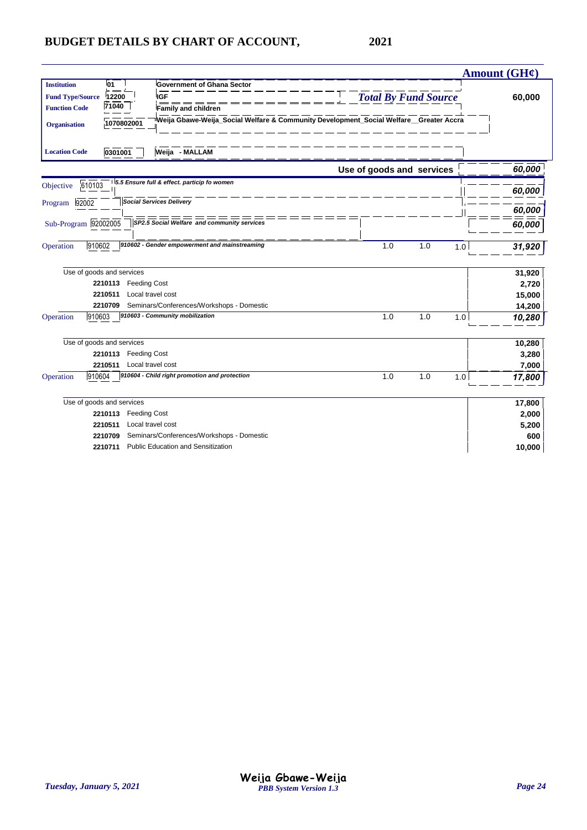|                         |                           |                                                                                       |     |                             |     | Amount $(GH\mathcal{C})$ |
|-------------------------|---------------------------|---------------------------------------------------------------------------------------|-----|-----------------------------|-----|--------------------------|
| <b>Institution</b>      | 01                        | <b>Government of Ghana Sector</b>                                                     |     |                             |     |                          |
| <b>Fund Type/Source</b> | 12200                     | <b>IGF</b>                                                                            |     | <b>Total By Fund Source</b> |     | 60,000                   |
| <b>Function Code</b>    | $\frac{1}{71040}$         | Family and children                                                                   |     |                             |     |                          |
| <b>Organisation</b>     | 1070802001                | Weija Gbawe-Weija_Social Welfare & Community Development_Social Welfare_Greater Accra |     |                             |     |                          |
| <b>Location Code</b>    | 0301001                   | Weija - MALLAM                                                                        |     |                             |     |                          |
|                         |                           |                                                                                       |     | Use of goods and services   |     | 60,000                   |
| Objective               | 610103                    | 5.5 Ensure full & effect. particip fo women                                           |     |                             |     | 60,000                   |
| 92002<br>Program        |                           | <b>Social Services Delivery</b>                                                       |     |                             |     |                          |
|                         |                           |                                                                                       |     |                             |     | 60,000                   |
| Sub-Program 92002005    |                           | SP2.5 Social Welfare and community services                                           |     |                             |     | 60,000                   |
| Operation               | 910602                    | 910602 - Gender empowerment and mainstreaming                                         | 1.0 | 1.0                         | 1.0 | 31,920                   |
|                         | Use of goods and services |                                                                                       |     |                             |     | 31,920                   |
|                         | 2210113                   | <b>Feeding Cost</b>                                                                   |     |                             |     | 2,720                    |
|                         | 2210511                   | Local travel cost                                                                     |     |                             |     | 15,000                   |
|                         | 2210709                   | Seminars/Conferences/Workshops - Domestic                                             |     |                             |     | 14,200                   |
| Operation               | 910603                    | 910603 - Community mobilization                                                       | 1.0 | 1.0                         | 1.0 | 10,280                   |
|                         | Use of goods and services |                                                                                       |     |                             |     | 10,280                   |
|                         | 2210113                   | <b>Feeding Cost</b>                                                                   |     |                             |     | 3,280                    |
|                         | 2210511                   | Local travel cost                                                                     |     |                             |     | 7,000                    |
| Operation               | 910604                    | 910604 - Child right promotion and protection                                         | 1.0 | 1.0                         | 1.0 | 17,800                   |
|                         | Use of goods and services |                                                                                       |     |                             |     | 17,800                   |
|                         | 2210113                   | Feeding Cost                                                                          |     |                             |     | 2,000                    |
|                         | 2210511                   | Local travel cost                                                                     |     |                             |     | 5,200                    |
|                         | 2210709                   | Seminars/Conferences/Workshops - Domestic                                             |     |                             |     | 600                      |
|                         | 2210711                   | <b>Public Education and Sensitization</b>                                             |     |                             |     | 10,000                   |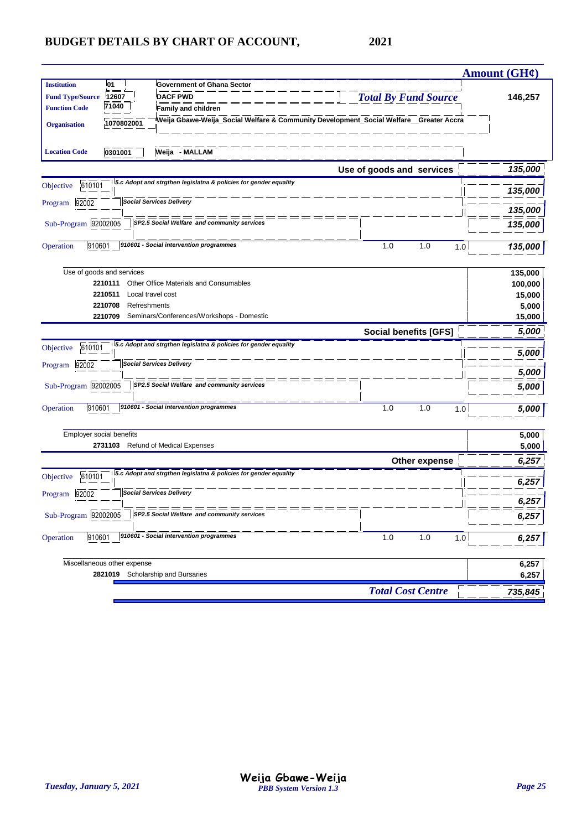|                          |                                    |                                                                                        |                              | <b>Amount (GH¢)</b> |
|--------------------------|------------------------------------|----------------------------------------------------------------------------------------|------------------------------|---------------------|
| <b>Institution</b>       | 01                                 | Government of Ghana Sector                                                             |                              |                     |
| <b>Fund Type/Source</b>  | 12607                              | <b>DACF PWD</b>                                                                        | <b>Total By Fund Source</b>  | 146,257             |
| <b>Function Code</b>     | 71040                              | <b>Family and children</b>                                                             |                              |                     |
| <b>Organisation</b>      | 1070802001                         | Weija Gbawe-Weija_Social Welfare & Community Development_Social Welfare__Greater Accra |                              |                     |
|                          |                                    |                                                                                        |                              |                     |
| <b>Location Code</b>     | 0301001                            | Weija - MALLAM                                                                         |                              |                     |
|                          |                                    |                                                                                        |                              |                     |
|                          |                                    |                                                                                        | Use of goods and services    | 135,000             |
| 610101<br>Objective      |                                    | 5.c Adopt and strgthen legislatna & policies for gender equality                       |                              | 135,000             |
| 92002<br>Program         |                                    | <b>Social Services Delivery</b>                                                        |                              |                     |
|                          |                                    |                                                                                        |                              | 135,000             |
| Sub-Program 92002005     |                                    | SP2.5 Social Welfare and community services                                            |                              | 135,000             |
|                          |                                    |                                                                                        |                              |                     |
| 910601<br>Operation      |                                    | 910601 - Social intervention programmes                                                | 1.0<br>1.0<br>1.0            | 135,000             |
|                          |                                    |                                                                                        |                              |                     |
|                          | Use of goods and services          |                                                                                        |                              | 135,000             |
|                          | 2210111                            | Other Office Materials and Consumables                                                 |                              | 100,000             |
|                          | 2210511                            | Local travel cost                                                                      |                              | 15,000              |
|                          | 2210708<br>Refreshments<br>2210709 |                                                                                        |                              | 5,000               |
|                          |                                    | Seminars/Conferences/Workshops - Domestic                                              |                              | 15,000              |
|                          |                                    |                                                                                        | <b>Social benefits [GFS]</b> | 5,000               |
| 610101<br>Objective      |                                    | 15.c Adopt and strgthen legislatna & policies for gender equality                      |                              | 5,000               |
| 92002<br>Program         |                                    | <b>Social Services Delivery</b>                                                        |                              |                     |
|                          |                                    | =====                                                                                  |                              | 5,000               |
| Sub-Program 92002005     |                                    | SP2.5 Social Welfare and community services                                            |                              | 5,000               |
|                          |                                    | 910601 - Social intervention programmes                                                |                              |                     |
| 910601<br>Operation      |                                    |                                                                                        | 1.0<br>1.0<br>1.0            | 5,000               |
|                          |                                    |                                                                                        |                              |                     |
| Employer social benefits |                                    |                                                                                        |                              | 5,000               |
|                          |                                    | 2731103 Refund of Medical Expenses                                                     |                              | 5,000               |
|                          |                                    |                                                                                        | Other expense                | 6,257               |
| 610101<br>Objective      |                                    | 15.c Adopt and strgthen legislatna & policies for gender equality                      |                              | 6,257               |
| 92002<br>Program         |                                    | <b>Social Services Delivery</b>                                                        |                              |                     |
|                          |                                    |                                                                                        |                              | 6,257               |
| Sub-Program 92002005     |                                    | SP2.5 Social Welfare and community services                                            |                              | 6,257               |
|                          |                                    |                                                                                        |                              |                     |
| 910601<br>Operation      |                                    | 910601 - Social intervention programmes                                                | 1.0<br>1.0<br>1.0            | 6,25                |
|                          |                                    |                                                                                        |                              |                     |
|                          | Miscellaneous other expense        |                                                                                        |                              | 6,257               |
|                          |                                    | 2821019 Scholarship and Bursaries                                                      |                              | 6,257               |
|                          |                                    |                                                                                        | <b>Total Cost Centre</b>     | 735,845             |
|                          |                                    |                                                                                        |                              |                     |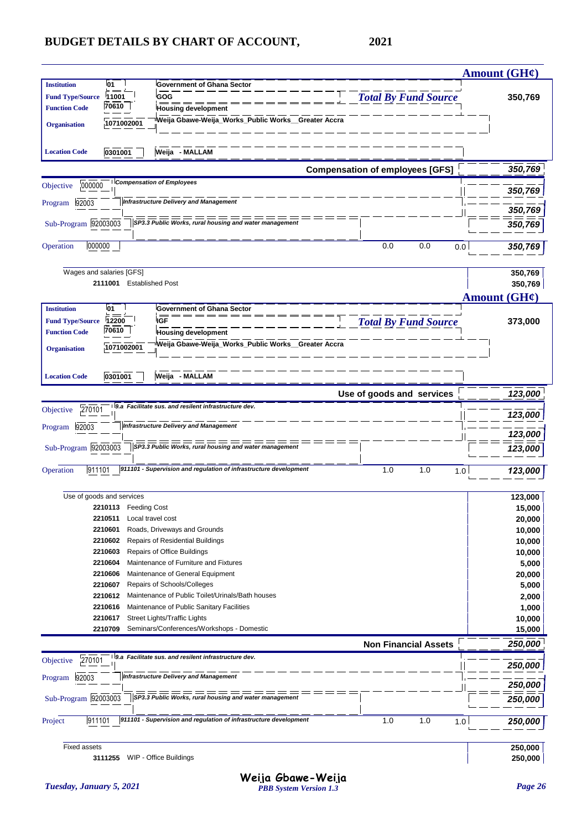|                         |                           |                                                                                 |                                        | <b>Amount (GH¢)</b>      |
|-------------------------|---------------------------|---------------------------------------------------------------------------------|----------------------------------------|--------------------------|
| <b>Institution</b>      | l01                       | <b>Government of Ghana Sector</b>                                               |                                        |                          |
| <b>Fund Type/Source</b> | 11001                     | <b>GOG</b>                                                                      | <b>Total By Fund Source</b>            | 350,769                  |
| <b>Function Code</b>    | 70610                     | <b>Housing development</b>                                                      |                                        |                          |
| <b>Organisation</b>     | 1071002001                | Weija Gbawe-Weija_Works_Public Works_Greater Accra                              |                                        |                          |
|                         |                           |                                                                                 |                                        |                          |
|                         |                           |                                                                                 |                                        |                          |
| <b>Location Code</b>    | 0301001                   | Weija - MALLAM                                                                  |                                        |                          |
|                         |                           |                                                                                 | <b>Compensation of employees [GFS]</b> | 350,769                  |
|                         |                           | <b>Compensation of Employees</b>                                                |                                        |                          |
| 000000<br>Objective     |                           |                                                                                 |                                        | 350,769                  |
| 92003<br>Program        |                           | <b>Infrastructure Delivery and Management</b>                                   |                                        |                          |
|                         |                           |                                                                                 |                                        | 350,769                  |
| Sub-Program 92003003    |                           | SP3.3 Public Works, rural housing and water management                          |                                        | 350,769                  |
|                         |                           |                                                                                 |                                        |                          |
| 000000<br>Operation     |                           |                                                                                 | 0.0<br>0.0<br>0.0                      | 350,769                  |
|                         |                           |                                                                                 |                                        |                          |
|                         | Wages and salaries [GFS]  |                                                                                 |                                        | 350,769                  |
|                         | 2111001                   | <b>Established Post</b>                                                         |                                        | 350,769                  |
|                         |                           |                                                                                 |                                        | Amount $(GH\mathcal{C})$ |
| <b>Institution</b>      | <b>01</b>                 | <b>Government of Ghana Sector</b>                                               |                                        |                          |
| <b>Fund Type/Source</b> | 12200                     | <b>IGF</b>                                                                      | <b>Total By Fund Source</b>            | 373,000                  |
| <b>Function Code</b>    | 70610                     | <b>Housing development</b>                                                      |                                        |                          |
|                         | 1071002001                | Weija Gbawe-Weija_Works_Public Works_Greater Accra                              |                                        |                          |
| <b>Organisation</b>     |                           |                                                                                 |                                        |                          |
|                         |                           |                                                                                 |                                        |                          |
| <b>Location Code</b>    | 0301001                   | Weija - MALLAM                                                                  |                                        |                          |
|                         |                           |                                                                                 | Use of goods and services              | 123,000                  |
| 270101                  |                           | 9.a Facilitate sus. and resilent infrastructure dev.                            |                                        |                          |
| Objective               |                           |                                                                                 |                                        | 123,000                  |
| Program 92003           |                           | <b>Infrastructure Delivery and Management</b>                                   |                                        |                          |
|                         |                           |                                                                                 |                                        | 123,000                  |
| Sub-Program 92003003    |                           | SP3.3 Public Works, rural housing and water management                          |                                        | 123,000                  |
|                         |                           | 911101 - Supervision and regulation of infrastructure development               |                                        |                          |
| 911101<br>Operation     |                           |                                                                                 | 1.0<br>1.0<br>1.0                      | 123,000                  |
|                         |                           |                                                                                 |                                        |                          |
|                         | Use of goods and services |                                                                                 |                                        | 123,000                  |
|                         | 2210113 Feeding Cost      |                                                                                 |                                        | 15,000                   |
|                         | 2210511                   | Local travel cost                                                               |                                        | 20,000                   |
|                         | 2210601<br>2210602        | Roads, Driveways and Grounds<br>Repairs of Residential Buildings                |                                        | 10,000                   |
|                         | 2210603                   | Repairs of Office Buildings                                                     |                                        | 10,000                   |
|                         | 2210604                   | Maintenance of Furniture and Fixtures                                           |                                        | 10,000<br>5,000          |
|                         |                           |                                                                                 |                                        |                          |
|                         |                           |                                                                                 |                                        |                          |
|                         | 2210606<br>2210607        | Maintenance of General Equipment                                                |                                        | 20,000                   |
|                         | 2210612                   | Repairs of Schools/Colleges<br>Maintenance of Public Toilet/Urinals/Bath houses |                                        | 5,000                    |
|                         | 2210616                   | Maintenance of Public Sanitary Facilities                                       |                                        | 2,000<br>1,000           |
|                         | 2210617                   | Street Lights/Traffic Lights                                                    |                                        | 10,000                   |
|                         | 2210709                   | Seminars/Conferences/Workshops - Domestic                                       |                                        | 15,000                   |
|                         |                           |                                                                                 |                                        |                          |
|                         |                           | 9.a Facilitate sus. and resilent infrastructure dev.                            | <b>Non Financial Assets</b>            | 250,000                  |
| 270101<br>Objective     |                           |                                                                                 |                                        | 250,000                  |
| 92003<br>Program        |                           | <b>Infrastructure Delivery and Management</b>                                   |                                        |                          |
|                         |                           |                                                                                 |                                        | 250,000                  |
| Sub-Program 92003003    |                           | SP3.3 Public Works, rural housing and water management                          |                                        | 250,000                  |
|                         |                           |                                                                                 |                                        |                          |
| 911101<br>Project       |                           | 911101 - Supervision and regulation of infrastructure development               | 1.0<br>1.0<br>1.0                      | 250,000                  |
|                         |                           |                                                                                 |                                        |                          |

**3111255** WIP - Office Buildings **250,000**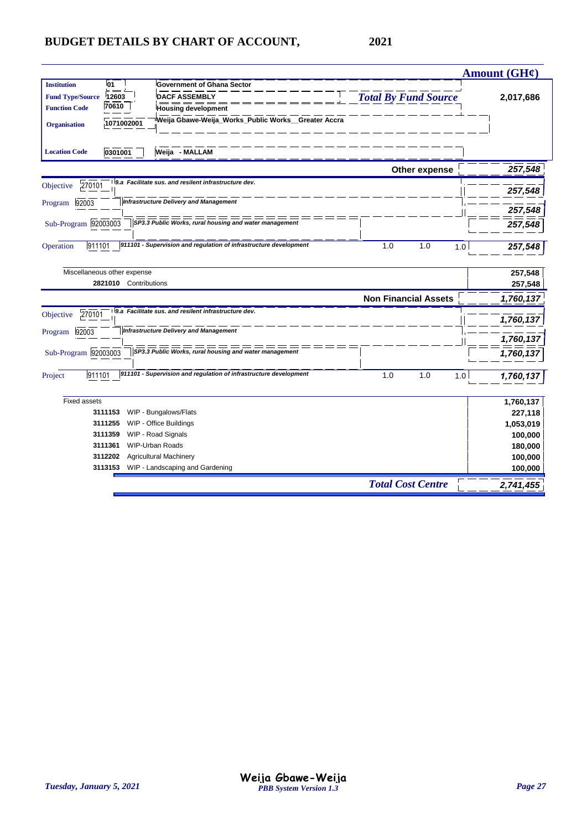| <b>Institution</b><br>01<br><b>Government of Ghana Sector</b><br><b>Total By Fund Source</b><br><b>Fund Type/Source</b><br>12603<br><b>DACF ASSEMBLY</b><br>70610<br><b>Function Code</b><br><b>Housing development</b><br>Weija Gbawe-Weija_Works_Public Works__Greater Accra<br>1071002001<br><b>Organisation</b><br>Weija - MALLAM<br><b>Location Code</b><br>0301001<br>Other expense<br>9.a Facilitate sus. and resilent infrastructure dev.<br>270101<br>Objective<br>257,548<br><b>Infrastructure Delivery and Management</b><br>92003<br>Program<br>$=$ $=$<br>Sub-Program 92003003<br>SP3.3 Public Works, rural housing and water management<br>911101 - Supervision and regulation of infrastructure development<br>911101<br>1.0<br>1.0<br>Operation<br>1.0<br>Miscellaneous other expense<br>2821010 Contributions<br><b>Non Financial Assets</b><br>1,760,137<br>9.a Facilitate sus. and resilent infrastructure dev.<br>270101<br>Objective<br><b>Infrastructure Delivery and Management</b><br>92003<br>Program<br>Sub-Program 92003003<br>SP3.3 Public Works, rural housing and water management<br>911101 - Supervision and regulation of infrastructure development<br>911101<br>1.0<br>1.0<br>Project<br>1.0<br><b>Fixed assets</b><br>3111153 |                       | <b>Amount (GH¢)</b> |
|-------------------------------------------------------------------------------------------------------------------------------------------------------------------------------------------------------------------------------------------------------------------------------------------------------------------------------------------------------------------------------------------------------------------------------------------------------------------------------------------------------------------------------------------------------------------------------------------------------------------------------------------------------------------------------------------------------------------------------------------------------------------------------------------------------------------------------------------------------------------------------------------------------------------------------------------------------------------------------------------------------------------------------------------------------------------------------------------------------------------------------------------------------------------------------------------------------------------------------------------------------------------|-----------------------|---------------------|
|                                                                                                                                                                                                                                                                                                                                                                                                                                                                                                                                                                                                                                                                                                                                                                                                                                                                                                                                                                                                                                                                                                                                                                                                                                                                   |                       |                     |
|                                                                                                                                                                                                                                                                                                                                                                                                                                                                                                                                                                                                                                                                                                                                                                                                                                                                                                                                                                                                                                                                                                                                                                                                                                                                   |                       | 2,017,686           |
|                                                                                                                                                                                                                                                                                                                                                                                                                                                                                                                                                                                                                                                                                                                                                                                                                                                                                                                                                                                                                                                                                                                                                                                                                                                                   |                       |                     |
|                                                                                                                                                                                                                                                                                                                                                                                                                                                                                                                                                                                                                                                                                                                                                                                                                                                                                                                                                                                                                                                                                                                                                                                                                                                                   |                       |                     |
|                                                                                                                                                                                                                                                                                                                                                                                                                                                                                                                                                                                                                                                                                                                                                                                                                                                                                                                                                                                                                                                                                                                                                                                                                                                                   |                       |                     |
|                                                                                                                                                                                                                                                                                                                                                                                                                                                                                                                                                                                                                                                                                                                                                                                                                                                                                                                                                                                                                                                                                                                                                                                                                                                                   |                       | 257,548             |
|                                                                                                                                                                                                                                                                                                                                                                                                                                                                                                                                                                                                                                                                                                                                                                                                                                                                                                                                                                                                                                                                                                                                                                                                                                                                   |                       |                     |
|                                                                                                                                                                                                                                                                                                                                                                                                                                                                                                                                                                                                                                                                                                                                                                                                                                                                                                                                                                                                                                                                                                                                                                                                                                                                   |                       |                     |
|                                                                                                                                                                                                                                                                                                                                                                                                                                                                                                                                                                                                                                                                                                                                                                                                                                                                                                                                                                                                                                                                                                                                                                                                                                                                   |                       | 257,548             |
|                                                                                                                                                                                                                                                                                                                                                                                                                                                                                                                                                                                                                                                                                                                                                                                                                                                                                                                                                                                                                                                                                                                                                                                                                                                                   |                       | 257,548             |
|                                                                                                                                                                                                                                                                                                                                                                                                                                                                                                                                                                                                                                                                                                                                                                                                                                                                                                                                                                                                                                                                                                                                                                                                                                                                   |                       |                     |
|                                                                                                                                                                                                                                                                                                                                                                                                                                                                                                                                                                                                                                                                                                                                                                                                                                                                                                                                                                                                                                                                                                                                                                                                                                                                   |                       | 257,548             |
|                                                                                                                                                                                                                                                                                                                                                                                                                                                                                                                                                                                                                                                                                                                                                                                                                                                                                                                                                                                                                                                                                                                                                                                                                                                                   |                       |                     |
|                                                                                                                                                                                                                                                                                                                                                                                                                                                                                                                                                                                                                                                                                                                                                                                                                                                                                                                                                                                                                                                                                                                                                                                                                                                                   |                       | 257,548             |
|                                                                                                                                                                                                                                                                                                                                                                                                                                                                                                                                                                                                                                                                                                                                                                                                                                                                                                                                                                                                                                                                                                                                                                                                                                                                   |                       | 257,548             |
|                                                                                                                                                                                                                                                                                                                                                                                                                                                                                                                                                                                                                                                                                                                                                                                                                                                                                                                                                                                                                                                                                                                                                                                                                                                                   |                       |                     |
|                                                                                                                                                                                                                                                                                                                                                                                                                                                                                                                                                                                                                                                                                                                                                                                                                                                                                                                                                                                                                                                                                                                                                                                                                                                                   |                       |                     |
|                                                                                                                                                                                                                                                                                                                                                                                                                                                                                                                                                                                                                                                                                                                                                                                                                                                                                                                                                                                                                                                                                                                                                                                                                                                                   |                       | 1,760,137           |
|                                                                                                                                                                                                                                                                                                                                                                                                                                                                                                                                                                                                                                                                                                                                                                                                                                                                                                                                                                                                                                                                                                                                                                                                                                                                   |                       |                     |
|                                                                                                                                                                                                                                                                                                                                                                                                                                                                                                                                                                                                                                                                                                                                                                                                                                                                                                                                                                                                                                                                                                                                                                                                                                                                   |                       | 1,760,137           |
|                                                                                                                                                                                                                                                                                                                                                                                                                                                                                                                                                                                                                                                                                                                                                                                                                                                                                                                                                                                                                                                                                                                                                                                                                                                                   |                       | 1,760,137           |
|                                                                                                                                                                                                                                                                                                                                                                                                                                                                                                                                                                                                                                                                                                                                                                                                                                                                                                                                                                                                                                                                                                                                                                                                                                                                   |                       |                     |
|                                                                                                                                                                                                                                                                                                                                                                                                                                                                                                                                                                                                                                                                                                                                                                                                                                                                                                                                                                                                                                                                                                                                                                                                                                                                   |                       | 1,760,137           |
|                                                                                                                                                                                                                                                                                                                                                                                                                                                                                                                                                                                                                                                                                                                                                                                                                                                                                                                                                                                                                                                                                                                                                                                                                                                                   |                       |                     |
|                                                                                                                                                                                                                                                                                                                                                                                                                                                                                                                                                                                                                                                                                                                                                                                                                                                                                                                                                                                                                                                                                                                                                                                                                                                                   |                       | 1,760,137           |
|                                                                                                                                                                                                                                                                                                                                                                                                                                                                                                                                                                                                                                                                                                                                                                                                                                                                                                                                                                                                                                                                                                                                                                                                                                                                   | WIP - Bungalows/Flats | 227,118             |
| WIP - Office Buildings<br>3111255                                                                                                                                                                                                                                                                                                                                                                                                                                                                                                                                                                                                                                                                                                                                                                                                                                                                                                                                                                                                                                                                                                                                                                                                                                 |                       | 1,053,019           |
| WIP - Road Signals<br>3111359                                                                                                                                                                                                                                                                                                                                                                                                                                                                                                                                                                                                                                                                                                                                                                                                                                                                                                                                                                                                                                                                                                                                                                                                                                     |                       | 100,000             |
| 3111361<br><b>WIP-Urban Roads</b>                                                                                                                                                                                                                                                                                                                                                                                                                                                                                                                                                                                                                                                                                                                                                                                                                                                                                                                                                                                                                                                                                                                                                                                                                                 |                       | 180,000             |
| <b>Agricultural Machinery</b><br>3112202                                                                                                                                                                                                                                                                                                                                                                                                                                                                                                                                                                                                                                                                                                                                                                                                                                                                                                                                                                                                                                                                                                                                                                                                                          |                       | 100,000             |
| WIP - Landscaping and Gardening<br>3113153                                                                                                                                                                                                                                                                                                                                                                                                                                                                                                                                                                                                                                                                                                                                                                                                                                                                                                                                                                                                                                                                                                                                                                                                                        |                       | 100,000             |
| <b>Total Cost Centre</b>                                                                                                                                                                                                                                                                                                                                                                                                                                                                                                                                                                                                                                                                                                                                                                                                                                                                                                                                                                                                                                                                                                                                                                                                                                          |                       | 2,741,455           |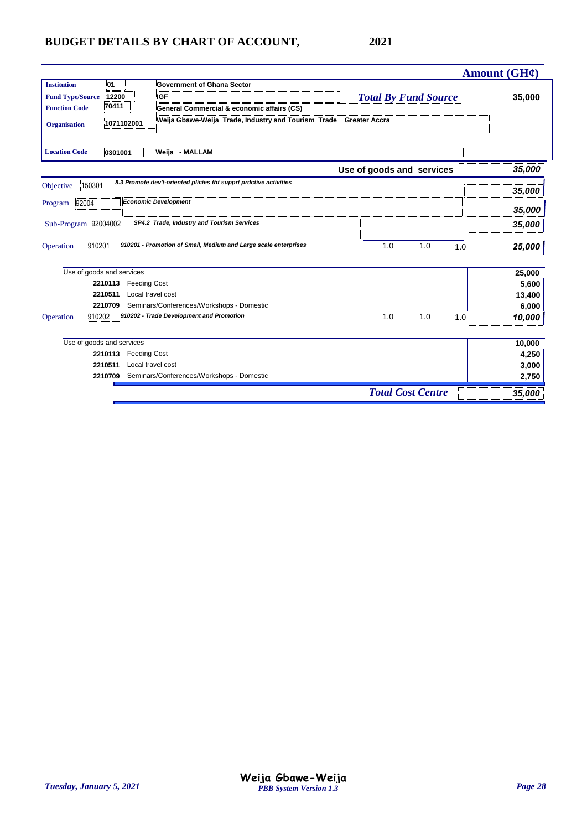|                                  |                                                                                  |                             | <b>Amount (GH¢)</b> |
|----------------------------------|----------------------------------------------------------------------------------|-----------------------------|---------------------|
| <b>Institution</b><br>01<br>$=$  | <b>Government of Ghana Sector</b>                                                |                             |                     |
| 12200<br><b>Fund Type/Source</b> | <b>IGF</b>                                                                       | <b>Total By Fund Source</b> | 35,000              |
| 70411<br><b>Function Code</b>    | General Commercial & economic affairs (CS)                                       |                             |                     |
| <b>Organisation</b>              | Weija Gbawe-Weija_Trade, Industry and Tourism_Trade__Greater Accra<br>1071102001 |                             |                     |
| <b>Location Code</b><br>0301001  | Weija - MALLAM                                                                   |                             |                     |
|                                  |                                                                                  | Use of goods and services   | 35,000              |
| 150301<br>Objective              | 8.3 Promote dev't-oriented plicies tht supprt prdctive activities                |                             |                     |
|                                  | <b>Economic Development</b>                                                      |                             | 35,000              |
| 92004<br>Program                 |                                                                                  |                             | 35,000              |
| Sub-Program 92004002             | SP4.2 Trade, Industry and Tourism Services                                       |                             | 35,000              |
| 910201<br>Operation              | 910201 - Promotion of Small, Medium and Large scale enterprises                  | 1.0<br>1.0                  | 1.0<br>25,000       |
| Use of goods and services        |                                                                                  |                             | 25,000              |
| 2210113                          | <b>Feeding Cost</b>                                                              |                             | 5,600               |
| 2210511                          | Local travel cost                                                                |                             | 13,400              |
| 2210709                          | Seminars/Conferences/Workshops - Domestic                                        |                             | 6,000               |
| Operation<br>910202              | 910202 - Trade Development and Promotion                                         | 1.0<br>1.0                  | 10,000<br>1.0       |
| Use of goods and services        |                                                                                  |                             | 10,000              |
| 2210113                          | <b>Feeding Cost</b>                                                              |                             | 4,250               |
| 2210511                          | Local travel cost                                                                |                             | 3,000               |
| 2210709                          | Seminars/Conferences/Workshops - Domestic                                        |                             | 2,750               |
|                                  |                                                                                  | <b>Total Cost Centre</b>    | 35,000              |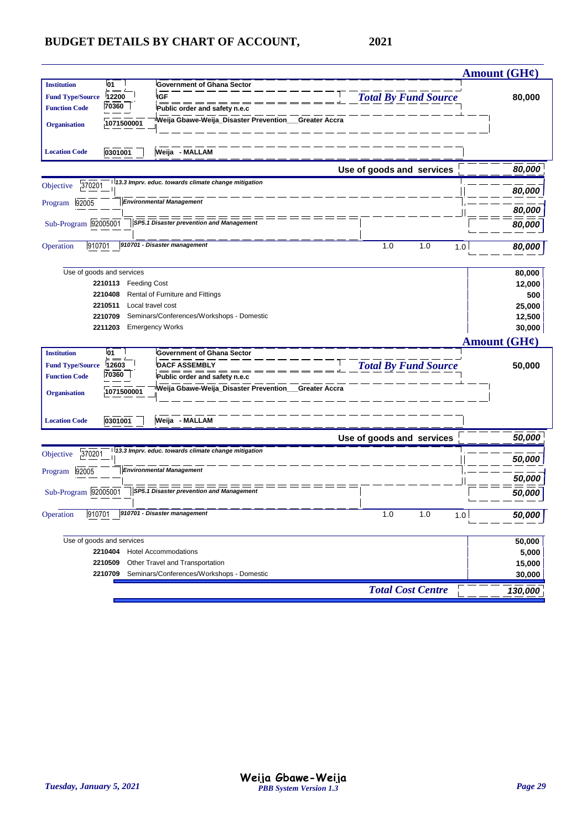| <b>Institution</b><br>01<br><b>Government of Ghana Sector</b><br><b>Total By Fund Source</b><br><b>IGF</b><br>12200<br><b>Fund Type/Source</b><br>80,000<br>70360<br><b>Function Code</b><br>Public order and safety n.e.c<br>Weija Gbawe-Weija_Disaster Prevention_<br>Greater Accra<br>1071500001<br><b>Organisation</b><br>Weija - MALLAM<br>0301001<br><b>Location Code</b><br>80,000<br>Use of goods and services<br>13.3 Imprv. educ. towards climate change mitigation<br>370201<br>Objective<br>80,000<br><b>Environmental Management</b><br>Program 92005<br>80,000<br>Sub-Program 92005001<br>SP5.1 Disaster prevention and Management<br>80,000<br>910701<br>910701 - Disaster management<br>1.0<br>1.0<br>Operation<br>1.0<br>80,000<br>Use of goods and services<br>80,000<br>2210113 Feeding Cost<br>12,000<br>2210408<br>Rental of Furniture and Fittings<br>500<br>2210511<br>Local travel cost<br>25,000<br>Seminars/Conferences/Workshops - Domestic<br>12,500<br>2210709<br>30,000<br>2211203<br><b>Emergency Works</b><br>Amount $(GH\ell)$<br><b>Institution</b><br>01<br><b>Government of Ghana Sector</b><br><b>Total By Fund Source</b><br><b>Fund Type/Source</b><br>12603<br>50,000<br><b>DACF ASSEMBLY</b><br>70360<br><b>Function Code</b><br>Public order and safety n.e.c<br>Weija Gbawe-Weija_Disaster Prevention__<br><b>Greater Accra</b><br>1071500001<br><b>Organisation</b><br>Weija - MALLAM<br>0301001<br><b>Location Code</b><br>Use of goods and services<br>50,000<br>13.3 Imprv. educ. towards climate change mitigation<br>370201<br>Objective<br>50,000<br><b>Environmental Management</b><br>92005<br>Program<br>50,000 |                          |        |
|----------------------------------------------------------------------------------------------------------------------------------------------------------------------------------------------------------------------------------------------------------------------------------------------------------------------------------------------------------------------------------------------------------------------------------------------------------------------------------------------------------------------------------------------------------------------------------------------------------------------------------------------------------------------------------------------------------------------------------------------------------------------------------------------------------------------------------------------------------------------------------------------------------------------------------------------------------------------------------------------------------------------------------------------------------------------------------------------------------------------------------------------------------------------------------------------------------------------------------------------------------------------------------------------------------------------------------------------------------------------------------------------------------------------------------------------------------------------------------------------------------------------------------------------------------------------------------------------------------------------------------------------------------------------|--------------------------|--------|
|                                                                                                                                                                                                                                                                                                                                                                                                                                                                                                                                                                                                                                                                                                                                                                                                                                                                                                                                                                                                                                                                                                                                                                                                                                                                                                                                                                                                                                                                                                                                                                                                                                                                      |                          |        |
|                                                                                                                                                                                                                                                                                                                                                                                                                                                                                                                                                                                                                                                                                                                                                                                                                                                                                                                                                                                                                                                                                                                                                                                                                                                                                                                                                                                                                                                                                                                                                                                                                                                                      |                          |        |
|                                                                                                                                                                                                                                                                                                                                                                                                                                                                                                                                                                                                                                                                                                                                                                                                                                                                                                                                                                                                                                                                                                                                                                                                                                                                                                                                                                                                                                                                                                                                                                                                                                                                      |                          |        |
|                                                                                                                                                                                                                                                                                                                                                                                                                                                                                                                                                                                                                                                                                                                                                                                                                                                                                                                                                                                                                                                                                                                                                                                                                                                                                                                                                                                                                                                                                                                                                                                                                                                                      |                          |        |
|                                                                                                                                                                                                                                                                                                                                                                                                                                                                                                                                                                                                                                                                                                                                                                                                                                                                                                                                                                                                                                                                                                                                                                                                                                                                                                                                                                                                                                                                                                                                                                                                                                                                      |                          |        |
|                                                                                                                                                                                                                                                                                                                                                                                                                                                                                                                                                                                                                                                                                                                                                                                                                                                                                                                                                                                                                                                                                                                                                                                                                                                                                                                                                                                                                                                                                                                                                                                                                                                                      |                          |        |
|                                                                                                                                                                                                                                                                                                                                                                                                                                                                                                                                                                                                                                                                                                                                                                                                                                                                                                                                                                                                                                                                                                                                                                                                                                                                                                                                                                                                                                                                                                                                                                                                                                                                      |                          |        |
|                                                                                                                                                                                                                                                                                                                                                                                                                                                                                                                                                                                                                                                                                                                                                                                                                                                                                                                                                                                                                                                                                                                                                                                                                                                                                                                                                                                                                                                                                                                                                                                                                                                                      |                          |        |
|                                                                                                                                                                                                                                                                                                                                                                                                                                                                                                                                                                                                                                                                                                                                                                                                                                                                                                                                                                                                                                                                                                                                                                                                                                                                                                                                                                                                                                                                                                                                                                                                                                                                      |                          |        |
|                                                                                                                                                                                                                                                                                                                                                                                                                                                                                                                                                                                                                                                                                                                                                                                                                                                                                                                                                                                                                                                                                                                                                                                                                                                                                                                                                                                                                                                                                                                                                                                                                                                                      |                          |        |
|                                                                                                                                                                                                                                                                                                                                                                                                                                                                                                                                                                                                                                                                                                                                                                                                                                                                                                                                                                                                                                                                                                                                                                                                                                                                                                                                                                                                                                                                                                                                                                                                                                                                      |                          |        |
|                                                                                                                                                                                                                                                                                                                                                                                                                                                                                                                                                                                                                                                                                                                                                                                                                                                                                                                                                                                                                                                                                                                                                                                                                                                                                                                                                                                                                                                                                                                                                                                                                                                                      |                          |        |
|                                                                                                                                                                                                                                                                                                                                                                                                                                                                                                                                                                                                                                                                                                                                                                                                                                                                                                                                                                                                                                                                                                                                                                                                                                                                                                                                                                                                                                                                                                                                                                                                                                                                      |                          |        |
|                                                                                                                                                                                                                                                                                                                                                                                                                                                                                                                                                                                                                                                                                                                                                                                                                                                                                                                                                                                                                                                                                                                                                                                                                                                                                                                                                                                                                                                                                                                                                                                                                                                                      |                          |        |
|                                                                                                                                                                                                                                                                                                                                                                                                                                                                                                                                                                                                                                                                                                                                                                                                                                                                                                                                                                                                                                                                                                                                                                                                                                                                                                                                                                                                                                                                                                                                                                                                                                                                      |                          |        |
|                                                                                                                                                                                                                                                                                                                                                                                                                                                                                                                                                                                                                                                                                                                                                                                                                                                                                                                                                                                                                                                                                                                                                                                                                                                                                                                                                                                                                                                                                                                                                                                                                                                                      |                          |        |
|                                                                                                                                                                                                                                                                                                                                                                                                                                                                                                                                                                                                                                                                                                                                                                                                                                                                                                                                                                                                                                                                                                                                                                                                                                                                                                                                                                                                                                                                                                                                                                                                                                                                      |                          |        |
|                                                                                                                                                                                                                                                                                                                                                                                                                                                                                                                                                                                                                                                                                                                                                                                                                                                                                                                                                                                                                                                                                                                                                                                                                                                                                                                                                                                                                                                                                                                                                                                                                                                                      |                          |        |
|                                                                                                                                                                                                                                                                                                                                                                                                                                                                                                                                                                                                                                                                                                                                                                                                                                                                                                                                                                                                                                                                                                                                                                                                                                                                                                                                                                                                                                                                                                                                                                                                                                                                      |                          |        |
|                                                                                                                                                                                                                                                                                                                                                                                                                                                                                                                                                                                                                                                                                                                                                                                                                                                                                                                                                                                                                                                                                                                                                                                                                                                                                                                                                                                                                                                                                                                                                                                                                                                                      |                          |        |
|                                                                                                                                                                                                                                                                                                                                                                                                                                                                                                                                                                                                                                                                                                                                                                                                                                                                                                                                                                                                                                                                                                                                                                                                                                                                                                                                                                                                                                                                                                                                                                                                                                                                      |                          |        |
|                                                                                                                                                                                                                                                                                                                                                                                                                                                                                                                                                                                                                                                                                                                                                                                                                                                                                                                                                                                                                                                                                                                                                                                                                                                                                                                                                                                                                                                                                                                                                                                                                                                                      |                          |        |
|                                                                                                                                                                                                                                                                                                                                                                                                                                                                                                                                                                                                                                                                                                                                                                                                                                                                                                                                                                                                                                                                                                                                                                                                                                                                                                                                                                                                                                                                                                                                                                                                                                                                      |                          |        |
|                                                                                                                                                                                                                                                                                                                                                                                                                                                                                                                                                                                                                                                                                                                                                                                                                                                                                                                                                                                                                                                                                                                                                                                                                                                                                                                                                                                                                                                                                                                                                                                                                                                                      |                          |        |
|                                                                                                                                                                                                                                                                                                                                                                                                                                                                                                                                                                                                                                                                                                                                                                                                                                                                                                                                                                                                                                                                                                                                                                                                                                                                                                                                                                                                                                                                                                                                                                                                                                                                      |                          |        |
|                                                                                                                                                                                                                                                                                                                                                                                                                                                                                                                                                                                                                                                                                                                                                                                                                                                                                                                                                                                                                                                                                                                                                                                                                                                                                                                                                                                                                                                                                                                                                                                                                                                                      |                          |        |
|                                                                                                                                                                                                                                                                                                                                                                                                                                                                                                                                                                                                                                                                                                                                                                                                                                                                                                                                                                                                                                                                                                                                                                                                                                                                                                                                                                                                                                                                                                                                                                                                                                                                      |                          |        |
|                                                                                                                                                                                                                                                                                                                                                                                                                                                                                                                                                                                                                                                                                                                                                                                                                                                                                                                                                                                                                                                                                                                                                                                                                                                                                                                                                                                                                                                                                                                                                                                                                                                                      |                          |        |
|                                                                                                                                                                                                                                                                                                                                                                                                                                                                                                                                                                                                                                                                                                                                                                                                                                                                                                                                                                                                                                                                                                                                                                                                                                                                                                                                                                                                                                                                                                                                                                                                                                                                      |                          |        |
|                                                                                                                                                                                                                                                                                                                                                                                                                                                                                                                                                                                                                                                                                                                                                                                                                                                                                                                                                                                                                                                                                                                                                                                                                                                                                                                                                                                                                                                                                                                                                                                                                                                                      |                          |        |
|                                                                                                                                                                                                                                                                                                                                                                                                                                                                                                                                                                                                                                                                                                                                                                                                                                                                                                                                                                                                                                                                                                                                                                                                                                                                                                                                                                                                                                                                                                                                                                                                                                                                      |                          |        |
| Sub-Program 92005001<br>SP5.1 Disaster prevention and Management<br><i><b>50,000</b></i>                                                                                                                                                                                                                                                                                                                                                                                                                                                                                                                                                                                                                                                                                                                                                                                                                                                                                                                                                                                                                                                                                                                                                                                                                                                                                                                                                                                                                                                                                                                                                                             |                          |        |
| 910701 - Disaster management<br>910701<br>1.0<br>1.0<br>Operation<br>1.0<br>50,000                                                                                                                                                                                                                                                                                                                                                                                                                                                                                                                                                                                                                                                                                                                                                                                                                                                                                                                                                                                                                                                                                                                                                                                                                                                                                                                                                                                                                                                                                                                                                                                   |                          |        |
|                                                                                                                                                                                                                                                                                                                                                                                                                                                                                                                                                                                                                                                                                                                                                                                                                                                                                                                                                                                                                                                                                                                                                                                                                                                                                                                                                                                                                                                                                                                                                                                                                                                                      |                          |        |
| Use of goods and services<br>50,000                                                                                                                                                                                                                                                                                                                                                                                                                                                                                                                                                                                                                                                                                                                                                                                                                                                                                                                                                                                                                                                                                                                                                                                                                                                                                                                                                                                                                                                                                                                                                                                                                                  |                          |        |
| 2210404<br><b>Hotel Accommodations</b><br>5,000                                                                                                                                                                                                                                                                                                                                                                                                                                                                                                                                                                                                                                                                                                                                                                                                                                                                                                                                                                                                                                                                                                                                                                                                                                                                                                                                                                                                                                                                                                                                                                                                                      |                          |        |
| 2210509<br>Other Travel and Transportation                                                                                                                                                                                                                                                                                                                                                                                                                                                                                                                                                                                                                                                                                                                                                                                                                                                                                                                                                                                                                                                                                                                                                                                                                                                                                                                                                                                                                                                                                                                                                                                                                           |                          | 15,000 |
|                                                                                                                                                                                                                                                                                                                                                                                                                                                                                                                                                                                                                                                                                                                                                                                                                                                                                                                                                                                                                                                                                                                                                                                                                                                                                                                                                                                                                                                                                                                                                                                                                                                                      |                          | 30,000 |
| Seminars/Conferences/Workshops - Domestic<br>2210709                                                                                                                                                                                                                                                                                                                                                                                                                                                                                                                                                                                                                                                                                                                                                                                                                                                                                                                                                                                                                                                                                                                                                                                                                                                                                                                                                                                                                                                                                                                                                                                                                 | <b>Total Cost Centre</b> |        |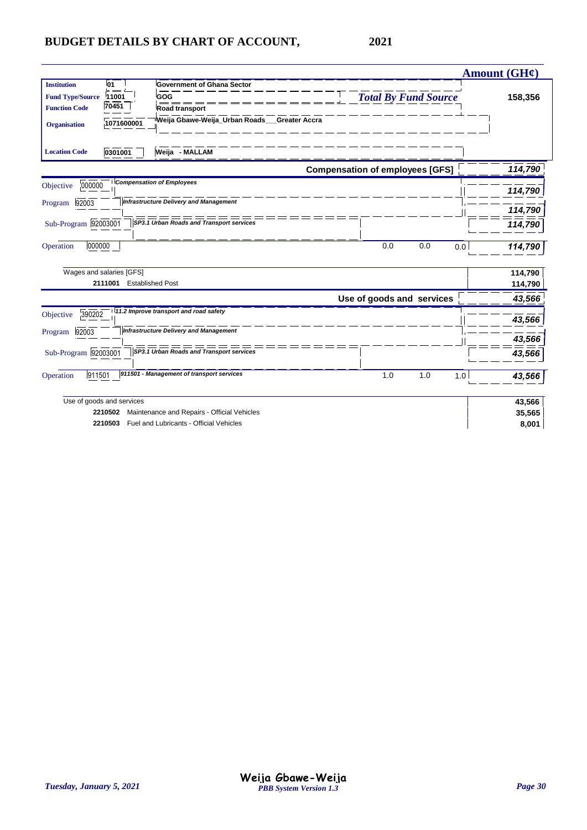|                                                                                                                                                                                                                                                                                                | <b>Amount (GH¢)</b>                                 |                    |
|------------------------------------------------------------------------------------------------------------------------------------------------------------------------------------------------------------------------------------------------------------------------------------------------|-----------------------------------------------------|--------------------|
| 01<br><b>Institution</b><br><b>Government of Ghana Sector</b><br>11001<br>GOG<br><b>Fund Type/Source</b><br>70451<br><b>Function Code</b><br><b>Road transport</b><br>Weija Gbawe-Weija_Urban Roads_<br>1071600001<br><b>Organisation</b><br>0301001<br>Weija - MALLAM<br><b>Location Code</b> | <b>Total By Fund Source</b><br><b>Greater Accra</b> | 158,356            |
|                                                                                                                                                                                                                                                                                                | <b>Compensation of employees [GFS]</b>              | 114,790            |
| <b>Compensation of Employees</b><br>000000<br>Objective                                                                                                                                                                                                                                        |                                                     | 114,790            |
| <b>Infrastructure Delivery and Management</b><br>92003<br>Program                                                                                                                                                                                                                              |                                                     | 114,790            |
| Sub-Program 92003001<br>SP3.1 Urban Roads and Transport services                                                                                                                                                                                                                               |                                                     | 114,790            |
| 000000<br>Operation                                                                                                                                                                                                                                                                            | 0.0<br>0.0<br>0.0                                   | 114,790            |
| Wages and salaries [GFS]<br>2111001<br><b>Established Post</b>                                                                                                                                                                                                                                 |                                                     | 114,790<br>114,790 |
|                                                                                                                                                                                                                                                                                                | Use of goods and services                           | 43,566             |
| 11.2 Improve transport and road safety<br>390202<br>Objective                                                                                                                                                                                                                                  |                                                     | 43,566             |
| <b>Infrastructure Delivery and Management</b><br>92003<br>Program                                                                                                                                                                                                                              |                                                     | 43,566             |
| Sub-Program 92003001<br>SP3.1 Urban Roads and Transport services                                                                                                                                                                                                                               |                                                     | 43,566             |
| 911501 - Management of transport services<br>911501<br>Operation                                                                                                                                                                                                                               | 1.0<br>1.0<br>1.0                                   | 43,566             |
| Use of goods and services                                                                                                                                                                                                                                                                      |                                                     | 43,566             |
| Maintenance and Repairs - Official Vehicles<br>2210502                                                                                                                                                                                                                                         |                                                     | 35,565             |
| Fuel and Lubricants - Official Vehicles<br>2210503                                                                                                                                                                                                                                             |                                                     | 8,001              |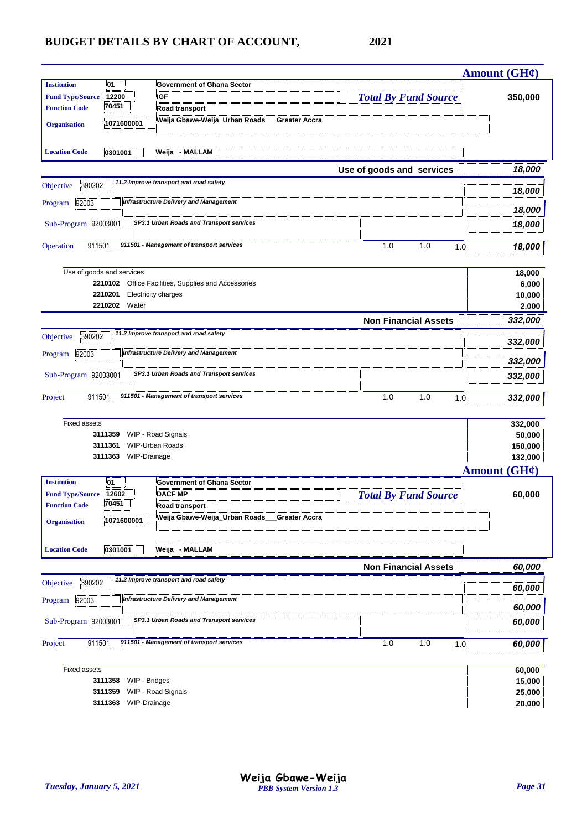|                         |                                    |                                                     |                             | <b>Amount (GH¢)</b>      |
|-------------------------|------------------------------------|-----------------------------------------------------|-----------------------------|--------------------------|
| <b>Institution</b>      | 01                                 | <b>Government of Ghana Sector</b>                   |                             |                          |
| <b>Fund Type/Source</b> | 12200                              | <b>IGF</b>                                          | <b>Total By Fund Source</b> | 350,000                  |
| <b>Function Code</b>    | 70451                              | Road transport                                      |                             |                          |
| <b>Organisation</b>     | 1071600001                         | Weija Gbawe-Weija_Urban Roads__Greater Accra        |                             |                          |
| <b>Location Code</b>    | 0301001                            | Weija - MALLAM                                      |                             |                          |
|                         |                                    |                                                     | Use of goods and services   | 18,000                   |
| 390202<br>Objective     |                                    | 11.2 Improve transport and road safety              |                             |                          |
| 92003<br>Program        |                                    | <b>Infrastructure Delivery and Management</b>       |                             | 18,000                   |
|                         |                                    |                                                     |                             | 18,000                   |
| Sub-Program 92003001    |                                    | SP3.1 Urban Roads and Transport services            |                             | 18,000                   |
| 911501<br>Operation     |                                    | 911501 - Management of transport services           | 1.0<br>1.0<br>1.0           | 18,000                   |
|                         | Use of goods and services          |                                                     |                             | 18,000                   |
|                         |                                    | 2210102 Office Facilities, Supplies and Accessories |                             | 6,000                    |
|                         | 2210201<br>2210202 Water           | <b>Electricity charges</b>                          |                             | 10,000<br>2,000          |
|                         |                                    |                                                     | <b>Non Financial Assets</b> | 332,000                  |
| 390202<br>Objective     |                                    | 11.2 Improve transport and road safety              |                             | 332,000                  |
| 92003<br>Program        |                                    | <b>Infrastructure Delivery and Management</b>       |                             | 332,000                  |
| Sub-Program 92003001    |                                    | SP3.1 Urban Roads and Transport services            |                             | 332,000                  |
|                         |                                    |                                                     |                             |                          |
| 911501<br>Project       |                                    | 911501 - Management of transport services           | 1.0<br>1.0<br>1.0           | 332,000                  |
| <b>Fixed assets</b>     |                                    |                                                     |                             | 332,000                  |
|                         | 3111359                            | WIP - Road Signals                                  |                             | 50,000                   |
|                         | 3111361<br>WIP-Drainage<br>3111363 | <b>WIP-Urban Roads</b>                              |                             | 150,000<br>132,000       |
|                         |                                    |                                                     |                             | Amount $(GH\mathcal{C})$ |
| <b>Institution</b>      | <b>01</b>                          | <b>Government of Ghana Sector</b>                   |                             |                          |
| <b>Fund Type/Source</b> | 12602                              | <b>DACF MP</b>                                      | <b>Total By Fund Source</b> | 60,000                   |
| <b>Function Code</b>    | 70451                              | Road transport                                      |                             |                          |
| <b>Organisation</b>     | 1071600001                         | Weija Gbawe-Weija_Urban Roads__Greater Accra        |                             |                          |
| <b>Location Code</b>    | 0301001                            | Weija - MALLAM                                      |                             |                          |
|                         |                                    |                                                     | <b>Non Financial Assets</b> | 60,000                   |
| 390202<br>Objective     |                                    | 11.2 Improve transport and road safety              |                             | 60,000                   |
| Program 92003           |                                    | <b>Infrastructure Delivery and Management</b>       |                             | 60,000                   |
| Sub-Program 92003001    |                                    | SP3.1 Urban Roads and Transport services            |                             | 60,000                   |
|                         |                                    |                                                     |                             |                          |
| 911501<br>Project       |                                    | 911501 - Management of transport services           | 1.0<br>1.0<br>1.0           | 60,000                   |
| <b>Fixed assets</b>     |                                    |                                                     |                             | 60,000                   |
|                         | WIP - Bridges<br>3111358           |                                                     |                             | 15,000                   |
|                         | 3111359                            | WIP - Road Signals                                  |                             | 25,000                   |
|                         | WIP-Drainage<br>3111363            |                                                     |                             | 20,000                   |